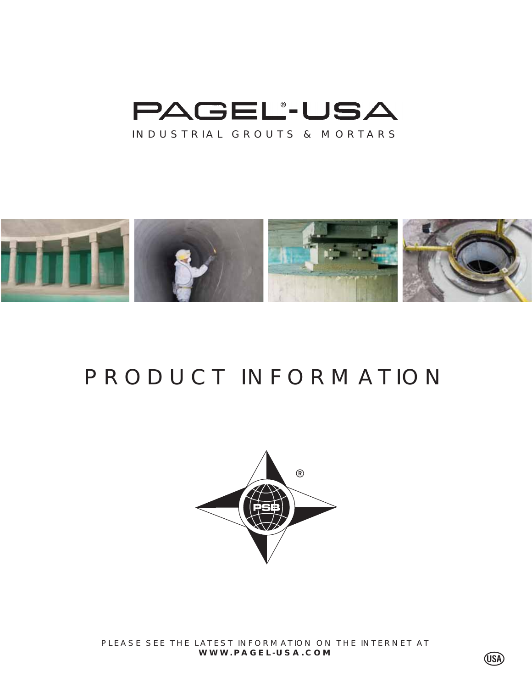



# PRODUCT INFORMATION



PLEASE SEE THE LATEST INFORMATION ON THE INTERNET AT **WWW.PAGEL-USA.COM**

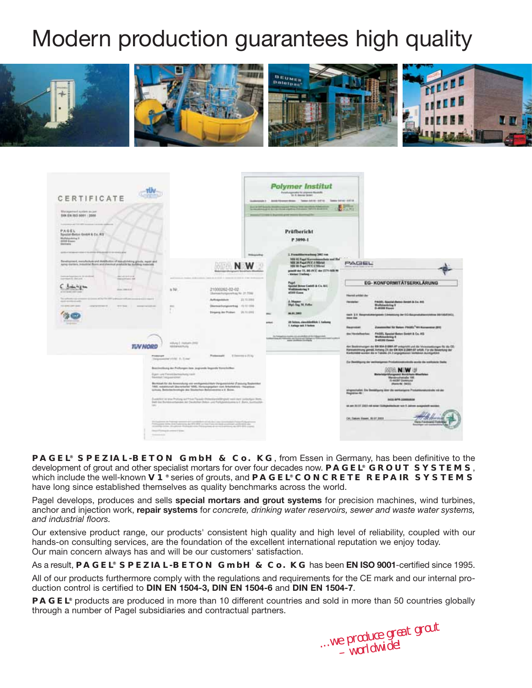# Modern production guarantees high quality



| CERTIFICATE<br>Maximization of Autobase are pare-<br>EVR EN IND SOUT : 2008                                                                                                                                                                                                                                                                                                                                                                                                                                                                                                                                                   |                                                                                                                                                                                                                                                                |                                                                                                                                                                                                                                                                                                                                                                                                                                                                                                                                                                                                                                                                                        | <b>Polymer Institut</b><br>Forehausmade following Boards<br>Lo A dancer broad<br>Goldwards 2 And Green Moor - Television Little - Service and Art &<br><b>Normal Editors Burning and States Box</b>                                                                                                                                                                                                                                            | <b>COST</b>                                                                                                                                                                                                                                                                                                                                                                                                                                                                                  |
|-------------------------------------------------------------------------------------------------------------------------------------------------------------------------------------------------------------------------------------------------------------------------------------------------------------------------------------------------------------------------------------------------------------------------------------------------------------------------------------------------------------------------------------------------------------------------------------------------------------------------------|----------------------------------------------------------------------------------------------------------------------------------------------------------------------------------------------------------------------------------------------------------------|----------------------------------------------------------------------------------------------------------------------------------------------------------------------------------------------------------------------------------------------------------------------------------------------------------------------------------------------------------------------------------------------------------------------------------------------------------------------------------------------------------------------------------------------------------------------------------------------------------------------------------------------------------------------------------------|------------------------------------------------------------------------------------------------------------------------------------------------------------------------------------------------------------------------------------------------------------------------------------------------------------------------------------------------------------------------------------------------------------------------------------------------|----------------------------------------------------------------------------------------------------------------------------------------------------------------------------------------------------------------------------------------------------------------------------------------------------------------------------------------------------------------------------------------------------------------------------------------------------------------------------------------------|
| Luxurence are himself resource in a control entities of<br>中共信置し<br>Special-Below Goldsk & Co. RO<br>Michelseinhorn K.<br>43100 Eason<br><b>Seemany</b>                                                                                                                                                                                                                                                                                                                                                                                                                                                                       |                                                                                                                                                                                                                                                                |                                                                                                                                                                                                                                                                                                                                                                                                                                                                                                                                                                                                                                                                                        | Prüfbericht<br>P 3090-1                                                                                                                                                                                                                                                                                                                                                                                                                        |                                                                                                                                                                                                                                                                                                                                                                                                                                                                                              |
| printer reference in the artists with product in the month plan.<br>Revisered, includes and distinctive of his string goods, real and<br>kering startlank. Insturation Boorn and alterntical products for building materials.<br>perhapsional to strategic<br><b><i><u>Including</u></i></b><br>Leraped detail 1<br><b>TRESTAGE ART</b><br>Trades Fifthem<br><b>ALCOHOL: NEW</b><br>at the age of the company<br>lases at he fix 197 is described an access a six cases.<br>Six advertising stress<br>specific providence and<br>10 050 070 000<br>concern and<br><b>STATISTICS</b><br>and the property of the control of the | is Felt<br>m                                                                                                                                                                                                                                                   | <b><i><u>Relatations</u></i></b><br>sent de stritte à pouver et rent de l'operation<br>21000262-02-02<br>Chemistrichungspielmag Nr. 21, 7098<br>23,73,256.0<br><b>Auto agentinum</b><br>Disemportungscorting 17212 1910<br>Singers In Follet 21.11.220                                                                                                                                                                                                                                                                                                                                                                                                                                 | 1. Formitting warking 2002 rose<br><b>MM RE Fagel Karroskanschein and Hall</b><br>MH 28 Pagel PCC-1 Miletet<br><b>MM W Fogel PCC &amp; Milesui</b><br>possibl day 15, 845-24'E day 27'V-MSR 96<br>- Mellers Steeland -<br>Page<br><b>Spotted Notes Cashell &amp; Co. A.U.</b><br><b>Walldookring ?</b><br>attor fisse<br>A Magner<br>High Sag 14, Feller<br><b>MA #1 2462</b><br>28 Notes, classification 1 Ashang<br>1. Author will 3 feeting | PAGEL<br>EG-KONFORMITÄTSERKLÄRUNG<br>Herni ekipi de<br>PAGEL Special decise denied & Co. 810<br><b>Telephone</b><br><b><i><u>Wellsteinling #</u></i></b><br><b><i>ILAKSEE FAAAH</i></b><br>tack 11 Besprekalergeads (Unwestung der EG Keisenstaltensisting MITOSESH)).<br><b>SHAKE BAKE</b><br>Zusemmittel für Batern PW2EL <sup>*</sup> NV Autoestetel (SVI)<br><b><i><u>Records</u></i></b>                                                                                                |
| <b>TIN NORD</b><br><b><i><u>Productions</u></i></b>                                                                                                                                                                                                                                                                                                                                                                                                                                                                                                                                                                           | Hillying S. Hallbarin (2012)<br><b>MARKERULE</b>                                                                                                                                                                                                               | If fees you a 27. kg<br>Followaght                                                                                                                                                                                                                                                                                                                                                                                                                                                                                                                                                                                                                                                     |                                                                                                                                                                                                                                                                                                                                                                                                                                                | <b>FADEL Epanist Gates Donat &amp; Co. KG</b><br>the Handalbashas.<br><b>Michaeloving 2</b><br><b>D-AS3RG Excent</b><br>An Bestratunger de 85 \$54 \$1985 \$7 established and die Vincennitaryen for die CE-<br>Kennestermang gemelt, Antweg 23. der EN 804 31,000 füll erfüllt. Für die Bewenhang der<br>Karkenabe worker die in Taballa J.K.2 projektionen Verheimen Aurokgabind.                                                                                                          |
| <b>Sec.</b><br><b>Science Ave</b>                                                                                                                                                                                                                                                                                                                                                                                                                                                                                                                                                                                             | Shephanning styles: 8-5 met<br>Bostineliung der Pollungen kan Jegrande legende Yerechtflast.<br>Egen und Feinritissmanlung nach<br><b>TRAFFIC VALUABRANC</b><br>is/look, Belockschromple are Disclantes Belocatoline a X. Bone.<br>State Change & come if from | Markstaft für die Aswenishung von werkgemischten Vergusschichte (Füssung September<br>1965, resultminall absorptioned 1956), Herschapppelan non Arbeitskiels - Hauptous-<br>Dutcher as you Pulling set Fried Tacada (Nilsenian billingkall nooil dark profatiliger Bork.)<br>Tech das Buristes erhandes der Deutschen delson und Partizionisches is if. Barn, surchaufüh-<br>the Procedures are Programs announced and counterparts of Art and Alack cases to a structure Process of Art and<br>alone data live a la programa de tiña del un visió una construcción del un electrónico<br>security forms are present Well-Care that Mark China's and said arms of an interdebt china's |                                                                                                                                                                                                                                                                                                                                                                                                                                                | Er Deröftung der weiterigenes Profationstratiolle worde die eraftatete Dade<br><b>BORG NEW JP</b><br><b>Pilangsons BurdiAsic Blocksies</b><br>Marconschematic 198<br><b>Jo ARZEY Dismission</b><br>(Ranke AV, DATE)<br>singreshated. Die Bereitfgung über die werkerigere Produktionstationis mit der<br><b>Pageston Rd</b><br><b>BALLARYA JUNIORISM</b><br>at an SUIT SIGN rol aims Guitapletturium with Jaimen augustell worker<br>OK, Sakers Steen, 30:37,0003<br>ra il anchiario il tutt |

**PAGEL® SPEZIAL-BETON GmbH & Co. KG**, from Essen in Germany, has been definitive to the development of grout and other specialist mortars for over four decades now. **PAGEL® GROUT SYSTEMS**, which include the well-known **V1®** series of grouts, and **PAGEL® CONCRETE REPAIR SYSTEMS** have long since established themselves as quality benchmarks across the world.

Pagel develops, produces and sells **special mortars and grout systems** for precision machines, wind turbines, anchor and injection work, **repair systems** for *concrete, drinking water reservoirs, sewer and waste water systems, and industrial floors.*

Our extensive product range, our products' consistent high quality and high level of reliability, coupled with our hands-on consulting services, are the foundation of the excellent international reputation we enjoy today. Our main concern always has and will be our customers' satisfaction.

As a result, **PAGEL® SPEZIAL-BETON GmbH & Co. KG** has been **EN ISO 9001**-certified since 1995.

All of our products furthermore comply with the regulations and requirements for the CE mark and our internal production control is certified to **DIN EN 1504-3, DIN EN 1504-6** and **DIN EN 1504-7**.

**PAGEL®** products are produced in more than 10 different countries and sold in more than 50 countries globally through a number of Pagel subsidiaries and contractual partners.

*...we produce great grout – worldwide!*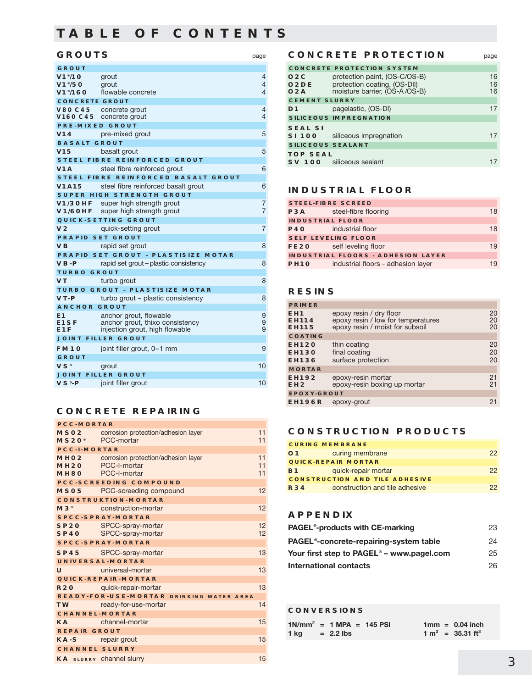### **TABLE OF CONTENTS**

#### **GROUTS** page

| <b>GROUT</b>                        |                                                           |                |
|-------------------------------------|-----------------------------------------------------------|----------------|
| V1°/10                              | grout                                                     | 4              |
| $V1^{\circ}/50$                     | grout                                                     | $\overline{4}$ |
| V1°/160                             | flowable concrete                                         | 4              |
| <b>CONCRETE GROUT</b>               |                                                           |                |
| <b>V80 C45</b>                      | concrete grout                                            | 4<br>4         |
| V160 C45                            | concrete grout<br><b>PRE-MIXED GROUT</b>                  |                |
| V <sub>14</sub>                     | pre-mixed grout                                           | 5              |
| <b>BASALT GROUT</b>                 |                                                           |                |
| V <sub>15</sub>                     | basalt grout                                              | 5              |
|                                     | <b>STEEL FIBRE REINFORCED GROUT</b>                       |                |
| V <sub>1</sub> A                    | steel fibre reinforced grout                              | 6              |
|                                     |                                                           |                |
|                                     | STEEL FIBRE REINFORCED BASALT GROUT                       |                |
| <b>V1A15</b>                        | steel fibre reinforced basalt grout                       | 6              |
|                                     | <b>SUPER HIGH STRENGTH GROUT</b>                          |                |
| $V1/3$ OHF<br><b>V1/60HF</b>        | super high strength grout                                 | 7<br>7         |
|                                     | super high strength grout<br>QUICK-SETTING GROUT          |                |
| V <sub>2</sub>                      |                                                           | 7              |
|                                     | quick-setting grout                                       |                |
|                                     | <b>PRAPID SET GROUT</b>                                   |                |
| <b>VB</b>                           | rapid set grout                                           | 8              |
|                                     | <b>PRAPID SET GROUT - PLASTISIZE MOTAR</b>                |                |
| $VB-P$                              | rapid set grout – plastic consistency                     | 8              |
| <b>TURBO GROUT</b>                  |                                                           |                |
| <b>VT</b>                           | turbo grout                                               | 8              |
|                                     | <b>TURBO GROUT - PLASTISIZE MOTAR</b>                     |                |
| VT-P                                | turbo grout – plastic consistency                         | 8              |
| <b>ANCHOR GROUT</b>                 |                                                           |                |
| E <sub>1</sub><br>E <sub>1</sub> SF | anchor grout, flowable<br>anchor grout, thixo consistency | 9<br>9         |
| E <sub>1</sub> F                    | injection grout, high flowable                            | 9              |
|                                     | <b>JOINT FILLER GROUT</b>                                 |                |
| <b>FM10</b>                         | joint filler grout, 0-1 mm                                | 9              |
| GROUT                               |                                                           |                |
| <b>VS</b> <sup>®</sup>              | grout                                                     | 10             |
|                                     | <b>JOINT FILLER GROUT</b>                                 |                |
| $VS*-P$                             | joint filler grout                                        | 10             |
|                                     |                                                           |                |

### **CONCRETE REPAIRING**

| <b>PCC-MORTAR</b>                        |                                                 |    |  |  |  |
|------------------------------------------|-------------------------------------------------|----|--|--|--|
| MS <sub>20</sub> <sup>e</sup> PCC-mortar | MSO2 corrosion protection/adhesion layer        |    |  |  |  |
| <b>PCC-I-MORTAR</b>                      |                                                 |    |  |  |  |
|                                          | MHO2 corrosion protection/adhesion layer        | 11 |  |  |  |
|                                          | MH <sub>20</sub> PCC-I-mortar                   | 11 |  |  |  |
|                                          | MH8O PCC-I-mortar                               | 11 |  |  |  |
|                                          | <b>PCC-SCREEDING COMPOUND</b>                   |    |  |  |  |
| MSO5                                     | PCC-screeding compound                          | 12 |  |  |  |
|                                          | <b>CONSTRUKTION-MORTAR</b>                      |    |  |  |  |
| $M3^{\circ}$ and $M3^{\circ}$            | construction-mortar                             | 12 |  |  |  |
|                                          | <b>SPCC-SPRAY-MORTAR</b>                        |    |  |  |  |
|                                          | SP20 SPCC-spray-mortar                          | 12 |  |  |  |
| SP40 <b>SP</b>                           | SPCC-spray-mortar                               | 12 |  |  |  |
|                                          | <b>SPCC-SPRAY-MORTAR</b>                        |    |  |  |  |
|                                          | SP45 SPCC-spray-mortar                          | 13 |  |  |  |
|                                          | UNIVERSAL-MORTAR                                |    |  |  |  |
| Ü                                        | universal-mortar                                | 13 |  |  |  |
|                                          | <b>QUICK-REPAIR-MORTAR</b>                      |    |  |  |  |
|                                          | R20 quick-repair-mortar                         | 13 |  |  |  |
|                                          | <b>READY-FOR-USE-MORTAR DRINKING WATER AREA</b> |    |  |  |  |
|                                          | TW ready-for-use-mortar                         | 14 |  |  |  |
| <b>CHANNEL-MORTAR</b>                    |                                                 |    |  |  |  |
| KA <b>Kanadia</b>                        | channel-mortar                                  | 15 |  |  |  |
| <b>REPAIR GROUT</b>                      |                                                 |    |  |  |  |
| KA-S repair grout                        |                                                 | 15 |  |  |  |
| <b>CHANNEL SLURRY</b>                    |                                                 |    |  |  |  |
|                                          | <b>KA</b> sLURRY Channel Slurry                 | 15 |  |  |  |

#### **CONCRETE PROTECTION** page

|                                 | <b>CONCRETE PROTECTION SYSTEM</b>                                                              |    |  |  |  |
|---------------------------------|------------------------------------------------------------------------------------------------|----|--|--|--|
| O2C<br>O <sub>2</sub> DE<br>O2A | protection paint, (OS-C/OS-B)<br>protection coating, (OS-DII)<br>moisture barrier, (OS-A/OS-B) |    |  |  |  |
| <b>CEMENT SLURRY</b>            |                                                                                                |    |  |  |  |
| D1                              | pagelastic, (OS-DI)                                                                            | 17 |  |  |  |
|                                 | <b>SILICEOUS IMPREGNATION</b>                                                                  |    |  |  |  |
| <b>SEAL SI</b><br>SI 100        | siliceous impregnation                                                                         |    |  |  |  |
| <b>SILICEOUS SEALANT</b>        |                                                                                                |    |  |  |  |
| <b>TOP SEAL</b>                 | <b>SV 100</b> siliceous sealant                                                                |    |  |  |  |

#### **INDUSTRIAL FLOOR**

|                  | <b>STEEL-FIBRE SCREED</b>                 |    |  |
|------------------|-------------------------------------------|----|--|
| P3A              | steel-fibre flooring<br>18                |    |  |
|                  | <b>INDUSTRIAL FLOOR</b>                   |    |  |
| <b>P40</b>       | industrial floor                          | 18 |  |
|                  | <b>SELF LEVELING FLOOR</b>                |    |  |
| FE20             | self leveling floor                       | 19 |  |
|                  | <b>INDUSTRIAL FLOORS - ADHESION LAYER</b> |    |  |
| PH <sub>10</sub> | industrial floors - adhesion layer        | 19 |  |
|                  |                                           |    |  |

### **RESINS**

| <b>PRIMER</b>                                   |                                                                                                  |                |
|-------------------------------------------------|--------------------------------------------------------------------------------------------------|----------------|
| EH <sub>1</sub><br><b>EH114</b><br><b>EH115</b> | epoxy resin / dry floor<br>epoxy resin / low for temperatures<br>epoxy resin / moist for subsoil | 20<br>20<br>20 |
| <b>COATING</b>                                  |                                                                                                  |                |
| <b>EH120</b><br><b>EH130</b><br><b>EH136</b>    | thin coating<br>final coating<br>surface protection                                              | 20<br>20<br>20 |
| <b>MORTAR</b>                                   |                                                                                                  |                |
| <b>EH192</b><br>EH <sub>2</sub>                 | epoxy-resin mortar<br>epoxy-resin boxing up mortar                                               | 21<br>21       |
| <b>EPOXY-GROUT</b>                              |                                                                                                  |                |
| <b>EH196R</b>                                   | epoxy-grout                                                                                      | 21             |

#### **CONSTRUCTION PRODUCTS**

|                | <b>CURING MEMBRANE</b>                |    |
|----------------|---------------------------------------|----|
| O <sub>1</sub> | curing membrane                       | 22 |
|                | <b>QUICK-REPAIR MORTAR</b>            |    |
| <b>B1</b>      | quick-repair mortar                   | 22 |
|                | <b>CONSTRUCTION AND TILE ADHESIVE</b> |    |
| <b>R34</b>     | construction and tile adhesive        | つつ |
|                |                                       |    |

### **APPENDIX**

| <b>PAGEL<sup>®</sup>-products with CE-marking</b>          | 23 |
|------------------------------------------------------------|----|
| <b>PAGEL</b> <sup>®</sup> -concrete-repairing-system table | 24 |
| Your first step to PAGEL <sup>®</sup> – www.pagel.com      | 25 |
| International contacts                                     | 26 |

#### **CONVERSIONS**

|      | $1N/mm^2$ = 1 MPA = 145 PSI |  | $1mm = 0.04$ inch               |
|------|-----------------------------|--|---------------------------------|
| 1 ka | $= 2.2$ lbs                 |  | $1 m^3$ = 35.31 ft <sup>3</sup> |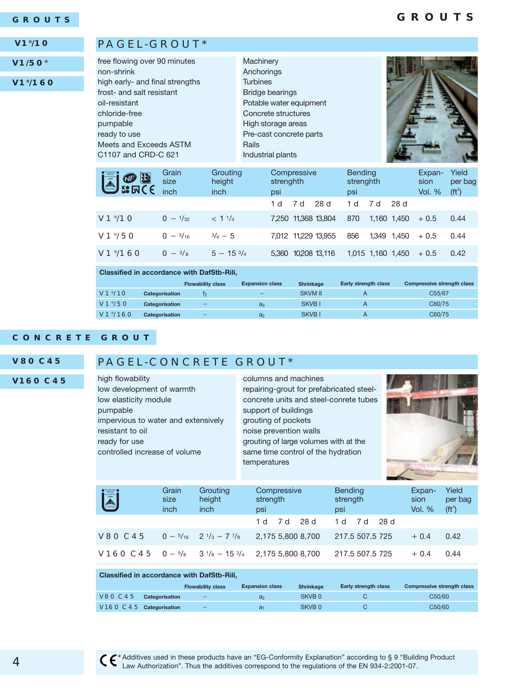#### **GROUTS**

### **GROUTS**

#### **V1®/10**

**V1/50®**

### **V1®/160**

| <b>EL OF EL</b>     | Grain<br>size<br>inch | Grouting<br>height<br>inch | Compressive<br>strenghth<br>psi | <b>Bending</b><br>strenghth<br>psi | Expan-<br>sion<br><b>Vol. %</b> | Yield<br>per bag<br>( <b>ft</b> <sup>3</sup> ) |
|---------------------|-----------------------|----------------------------|---------------------------------|------------------------------------|---------------------------------|------------------------------------------------|
|                     |                       |                            | 28d<br>1 d<br>7 d               | 28 d<br>7 d<br>1 d                 |                                 |                                                |
| V1 <sup>°</sup> /1O | $0 - \frac{1}{32}$    | < 11/4                     | 7,250 11,368 13,804             | 870<br>1.160<br>1.450              | $+0.5$                          | 0.44                                           |
| $V1*/50$            | $0 - \frac{3}{16}$    | $\frac{3}{4} - 5$          | 7,012 11,229 13,955             | 856<br>1.349 1.450                 | $+0.5$                          | 0.44                                           |
| $V1^{\circ}/160$    | $0 - \frac{3}{8}$     | $5 - 15\frac{3}{4}$        | 10208 13.116<br>5.360           | 1.015 1.160 1.450                  | $+0.5$                          | 0.42                                           |

#### **Classified in accordance with DafStb-Rili,**

PAGEL-GROUT\*

|                  |                | <b>Flowability class</b> | <b>Expansion class</b>   | <b>Shrinkage</b> | Early strength class | <b>Compressive strength class</b> |
|------------------|----------------|--------------------------|--------------------------|------------------|----------------------|-----------------------------------|
| $V1^{\circ}/10$  | Categorisation | T٥                       | $\overline{\phantom{0}}$ | <b>SKVM II</b>   |                      | C55/67                            |
| $V1^{\circ}/50$  | Categorisation |                          | $a_3$                    | SKVB I           |                      | C60/75                            |
| $V1^{\circ}/160$ | Categorisation |                          | a <sub>2</sub>           | SKVB I           |                      | C60/75                            |

#### **CONCRETE GROUT**

#### **V80 C45**

**V160 C45**

### PAGEL-CONCRETE GROUT\*

high flowability low development of warmth low elasticity module pumpable impervious to water and extensively resistant to oil ready for use controlled increase of volume

columns and machines repairing-grout for prefabricated steelconcrete units and steel-conrete tubes support of buildings grouting of pockets noise prevention walls grouting of large volumes with at the same time control of the hydration temperatures



| E              | Grain<br>size<br>inch | Grouting<br>height<br>inch                       | Compressive<br>strength<br>psi                                                         | <b>Bending</b><br>strength<br>psi | Expan-<br>sion<br><b>Vol. %</b> | Yield<br>per bag<br>(f t <sup>3</sup> ) |
|----------------|-----------------------|--------------------------------------------------|----------------------------------------------------------------------------------------|-----------------------------------|---------------------------------|-----------------------------------------|
|                |                       |                                                  | 7d 28d<br>1 d                                                                          | -28 d<br>1 d<br>7 d               |                                 |                                         |
| <b>V80 C45</b> |                       | $0 - \frac{5}{16}$ $2 \frac{1}{3} - \frac{7}{8}$ | 2,175 5,800 8,700                                                                      | 217.5 507.5 725                   | $+0.4$                          | 0.42                                    |
|                |                       |                                                  | <b>V16O C45</b> $0 - \frac{5}{8}$ 3 $\frac{1}{8}$ - 15 $\frac{3}{4}$ 2.175 5.800 8.700 | 217.5 507.5 725                   | $+0.4$                          | 0.44                                    |

|                         | <b>Classified in accordance with DafStb-Rili.</b> |                          |                        |                  |                             |                                   |  |  |  |  |  |  |  |  |  |
|-------------------------|---------------------------------------------------|--------------------------|------------------------|------------------|-----------------------------|-----------------------------------|--|--|--|--|--|--|--|--|--|
|                         |                                                   | <b>Flowability class</b> | <b>Expansion class</b> | <b>Shrinkage</b> | <b>Early strength class</b> | <b>Compressive strength class</b> |  |  |  |  |  |  |  |  |  |
| <b>V80 C45</b>          | Categorisation                                    | _                        | a <sub>2</sub>         | SKVB 0           |                             | C50/60                            |  |  |  |  |  |  |  |  |  |
| V16O C45 Categorisation |                                                   | $\qquad \qquad -$        | a <sub>1</sub>         | SKVB 0           |                             | C50/60                            |  |  |  |  |  |  |  |  |  |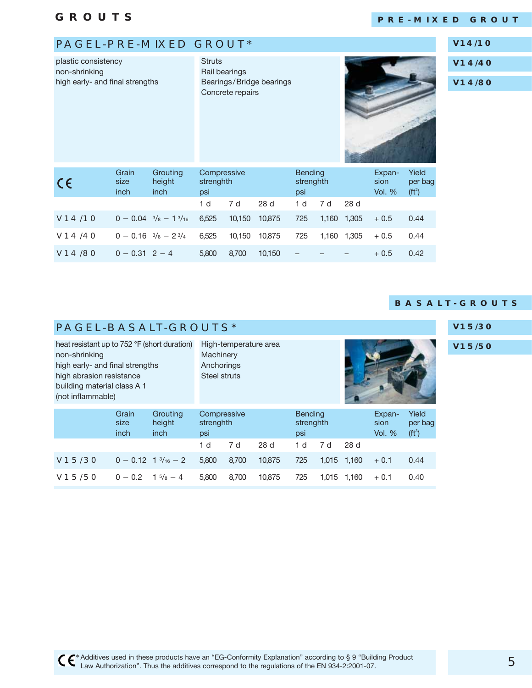$V14/80$ 

### **PRE-MIXED GROUT**

**V14/10**

### PAGEL-PRE-MIXED GROUT\*

 $0 - 0.31$  2 - 4

| plastic consistency<br>non-shrinking<br>high early- and final strengths | <b>Struts</b>                | Rail bearings<br>Concrete repairs        | Bearings/Bridge bearings        |        |        | V14/40<br>V14/80                   |     |             |                            |                              |  |
|-------------------------------------------------------------------------|------------------------------|------------------------------------------|---------------------------------|--------|--------|------------------------------------|-----|-------------|----------------------------|------------------------------|--|
| $C \in$                                                                 | Grain<br>size<br><i>inch</i> | Grouting<br>height<br>inch               | Compressive<br>strenghth<br>psi |        |        | <b>Bending</b><br>strenghth<br>psi |     |             | Expan-<br>sion<br>Vol. $%$ | Yield<br>per bag<br>$(ft^3)$ |  |
|                                                                         |                              |                                          | 1 <sub>d</sub>                  | 7 d    | 28 d   | 1 <sub>d</sub>                     | 7 d | 28 d        |                            |                              |  |
| V14/10                                                                  |                              | $0 - 0.04$ $\frac{3}{8} - 1\frac{3}{16}$ | 6,525                           | 10,150 | 10,875 | 725                                |     | 1,160 1,305 | $+0.5$                     | 0.44                         |  |
| V14/40                                                                  |                              | $0 - 0.16$ $\frac{3}{8} - 2\frac{3}{4}$  | 6,525<br>10,150<br>10,875       |        |        | 725                                |     | 1,160 1,305 | $+0.5$                     | 0.44                         |  |
|                                                                         |                              |                                          |                                 |        |        |                                    |     |             |                            |                              |  |

4 5,800 8,700 10,150 – – – + 0.5 0.42

### **BASALT-GROUTS**

|                                                                                                                                  | $\mathbf v$<br><b>PAGEL-BASALT-GROUTS*</b><br>heat resistant up to 752 °F (short duration)<br>High-temperature area |                                         |                |                          |                 |                                    |       |       |                            |                              |  |  |  |  |  |
|----------------------------------------------------------------------------------------------------------------------------------|---------------------------------------------------------------------------------------------------------------------|-----------------------------------------|----------------|--------------------------|-----------------|------------------------------------|-------|-------|----------------------------|------------------------------|--|--|--|--|--|
| non-shrinking<br>high early- and final strengths<br>high abrasion resistance<br>building material class A 1<br>(not inflammable) |                                                                                                                     | Machinery<br>Anchorings<br>Steel struts |                |                          |                 |                                    |       |       |                            | $\overline{\mathsf{v}}$      |  |  |  |  |  |
|                                                                                                                                  | Grain<br>size<br>inch                                                                                               | Grouting<br>height<br><i>inch</i>       | psi            | Compressive<br>strenghth |                 | <b>Bending</b><br>strenghth<br>psi |       |       | Expan-<br>sion<br>Vol. $%$ | Yield<br>per bag<br>$(ft^3)$ |  |  |  |  |  |
|                                                                                                                                  |                                                                                                                     |                                         | 1 <sub>d</sub> | 7 d                      | 28 <sub>d</sub> | 1 <sub>d</sub>                     | 7 d   | 28d   |                            |                              |  |  |  |  |  |
| V15/30                                                                                                                           |                                                                                                                     | $0 - 0.12 + 3/16 - 2$                   | 5,800          | 8,700                    | 10,875          | 725                                | 1,015 | 1.160 | $+0.1$                     | 0.44                         |  |  |  |  |  |
| V15/50                                                                                                                           | $0 - 0.2$                                                                                                           | $1\frac{5}{8} - 4$                      | 5,800          | 8.700                    | 10.875          | 725                                | 1.015 | 1.160 | $+0.1$                     | 0.40                         |  |  |  |  |  |

#### **V15/50**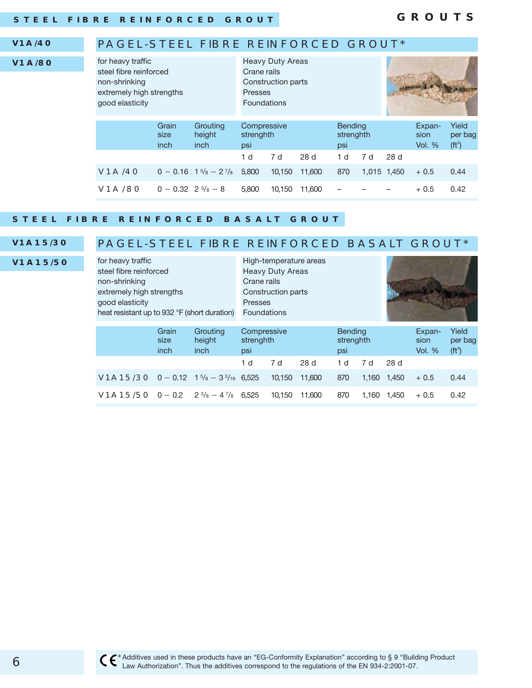#### **V1A/40**

**V1A/80**

### PAGEL-STEEL FIBRE REINFORCED GROUT\*

| for heavy traffic<br>steel fibre reinforced<br>non-shrinking<br>extremely high strengths<br>good elasticity |                                |                                                                            | Crane rails<br>Presses<br><b>Foundations</b> | <b>Heavy Duty Areas</b><br>Construction parts |        |                                    |     |             |                            |                                    |
|-------------------------------------------------------------------------------------------------------------|--------------------------------|----------------------------------------------------------------------------|----------------------------------------------|-----------------------------------------------|--------|------------------------------------|-----|-------------|----------------------------|------------------------------------|
|                                                                                                             | Grain<br>size<br>inch          | Grouting<br>height<br>inch                                                 | Compressive<br>strenghth<br>psi              |                                               |        | <b>Bending</b><br>strenghth<br>psi |     |             | Expan-<br>sion<br>Vol. $%$ | Yield<br>per bag<br>$({\rm ft}^3)$ |
|                                                                                                             |                                |                                                                            | 1 d                                          | 7 d                                           | 28 d   | 1 <sub>d</sub>                     | 7 d | 28 d        |                            |                                    |
| <b>V1A/40</b>                                                                                               |                                | $0 - 0.16$ 1 <sup>5</sup> / <sub>8</sub> $- 2$ <sup>7</sup> / <sub>8</sub> | 5,800                                        | 10.150                                        | 11,600 | 870                                |     | 1,015 1,450 | $+0.5$                     | 0.44                               |
| <b>V1A/80</b>                                                                                               | $0 - 0.32 + 2 \frac{3}{8} - 8$ |                                                                            | 5.800                                        | 10.150                                        | 11,600 |                                    |     |             | $+0.5$                     | 0.42                               |

#### **STEEL FIBRE REINFORCED BASALT GROUT**

### **V1A15/30 V1A15/50**

### PAGEL-STEEL FIBRE REINFORCED BASALT GROUT\*

| for heavy traffic<br>steel fibre reinforced<br>non-shrinking<br>extremely high strengths<br>good elasticity<br>heat resistant up to 932 °F (short duration) |                       | Crane rails<br><b>Presses</b><br>Foundations | High-temperature areas<br><b>Heavy Duty Areas</b><br>Construction parts |                          |        |                |                             |       |                                 |                              |
|-------------------------------------------------------------------------------------------------------------------------------------------------------------|-----------------------|----------------------------------------------|-------------------------------------------------------------------------|--------------------------|--------|----------------|-----------------------------|-------|---------------------------------|------------------------------|
|                                                                                                                                                             | Grain<br>size<br>inch | Grouting<br>height<br>inch                   | psi                                                                     | Compressive<br>strenghth |        |                | <b>Bending</b><br>strenghth |       | Expan-<br>sion<br><b>Vol. %</b> | Yield<br>per bag<br>$(ft^3)$ |
|                                                                                                                                                             |                       |                                              | 1 d                                                                     | 7 d                      | 28 d   | 1 <sub>d</sub> | 7 d                         | 28 d  |                                 |                              |
| <b>V1A15/3O</b> $0 - 0.12$ 1 <sup>5</sup> / <sub>8</sub> $- 3\frac{3}{16}$ 6,525                                                                            |                       |                                              |                                                                         | 10.150                   | 11,600 | 870            | 1.160                       | 1,450 | $+0.5$                          | 0.44                         |
| <b>V1A15/5O</b> $0 - 0.2$ $2\frac{3}{8} - 4\frac{7}{8}$ 6.525                                                                                               |                       |                                              |                                                                         | 10.150                   | 11,600 | 870            | 1.160                       | 1.450 | $+0.5$                          | 0.42                         |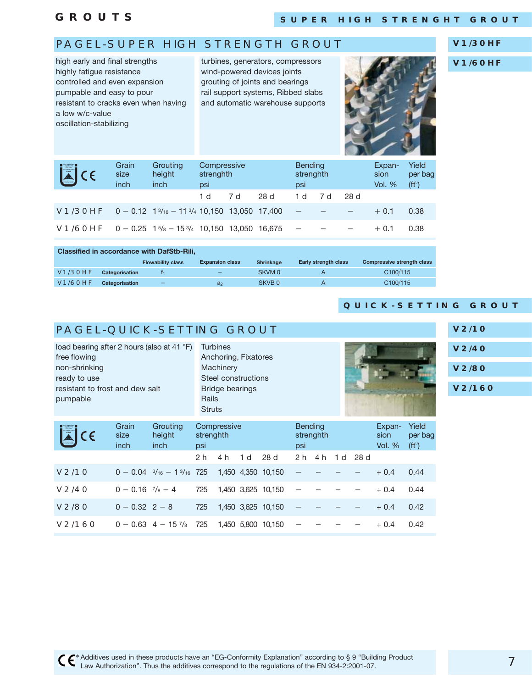**GROUTS**

### PAGEL-SUPER HIGH STRENGTH GROUT

high early and final strengths highly fatigue resistance controlled and even expansion pumpable and easy to pour resistant to cracks even when having a low w/c-value oscillation-stabilizing

turbines, generators, compressors wind-powered devices joints grouting of joints and bearings rail support systems, Ribbed slabs and automatic warehouse supports



**V1/30HF**

**V1/60HF**

| <b>圖</b> CE                                                                                              | Grain<br>size<br>inch | Grouting<br>height<br>inch | Compressive<br>strenghth<br>psi |     |        | <b>Bending</b><br>strenghth<br>psi |     | Expan-<br>sion<br><b>Vol. %</b> | Yield<br>per bag<br>$(ft^3)$ |      |
|----------------------------------------------------------------------------------------------------------|-----------------------|----------------------------|---------------------------------|-----|--------|------------------------------------|-----|---------------------------------|------------------------------|------|
|                                                                                                          |                       |                            | 1 d                             | 7 d | 28 d   | 1 d                                | 7 d | 28 d                            |                              |      |
| <b>V1/3OHF</b> $0 - 0.12 + 1\frac{3}{16} - 11\frac{3}{4} + 10.150 + 13.050 + 17.400$                     |                       |                            |                                 |     |        | $\overline{\phantom{m}}$           |     |                                 | $+0.1$                       | 0.38 |
| <b>V1/6OHF</b> $0 - 0.25$ 1 <sup>5</sup> / <sub>8</sub> $- 15$ <sup>3</sup> / <sub>4</sub> 10,150 13,050 |                       |                            |                                 |     | 16.675 | $\overline{\phantom{m}}$           |     |                                 | $+0.1$                       | 0.38 |

|                | <b>Classified in accordance with DafStb-Rili.</b> |                          |                          |                   |                             |                                   |  |  |  |  |  |  |  |  |  |
|----------------|---------------------------------------------------|--------------------------|--------------------------|-------------------|-----------------------------|-----------------------------------|--|--|--|--|--|--|--|--|--|
|                |                                                   | <b>Flowability class</b> | <b>Expansion class</b>   | <b>Shrinkage</b>  | <b>Early strength class</b> | <b>Compressive strength class</b> |  |  |  |  |  |  |  |  |  |
| V1/3OHF        | Categorisation                                    |                          | $\overline{\phantom{0}}$ | SKVM 0            |                             | C100/115                          |  |  |  |  |  |  |  |  |  |
| <b>V1/60HF</b> | Categorisation                                    | -                        | a <sub>2</sub>           | SKVB <sub>0</sub> |                             | C100/115                          |  |  |  |  |  |  |  |  |  |

### **QUICK-SETTING GROUT**

### PAGEL-QUICK-SETTING GROUT

load bearing after 2 hours (also at 41 °F) free flowing non-shrinking ready to use resistant to frost and dew salt pumpable **Turbines** Anchoring, Fixatores **Machinery** Steel constructions Bridge bearings Rails **Struts** 

| V <sub>2/10</sub> |
|-------------------|
| <b>V2/40</b>      |
| V2/80             |
| V2/160            |

| ECE               | Grain<br>size<br>inch        | Grouting<br>height<br>inch                    | Compressive<br>strenghth<br>psi |     |                | <b>Bending</b><br>psi | strenghth                |     |     | Expan-<br>sion<br>Vol. $%$ | Yield<br>per bag<br>( <b>ft</b> <sup>3</sup> ) |      |
|-------------------|------------------------------|-----------------------------------------------|---------------------------------|-----|----------------|-----------------------|--------------------------|-----|-----|----------------------------|------------------------------------------------|------|
|                   |                              |                                               | 2 <sub>h</sub>                  | 4 h | 1 <sub>d</sub> | 28d                   | 2 <sub>h</sub>           | 4 h | 1 d | 28 d                       |                                                |      |
| V <sub>2/10</sub> |                              | $0 - 0.04$ $\frac{3}{16} - 1\frac{3}{16}$ 725 |                                 |     |                | 1,450 4,350 10,150    | $\overline{\phantom{0}}$ |     |     |                            | $+0.4$                                         | 0.44 |
| V <sub>2/40</sub> | $0 - 0.16$ $\frac{7}{8} - 4$ |                                               | 725                             |     |                | 1,450 3,625 10,150    |                          |     |     |                            | $+0.4$                                         | 0.44 |
| V2/80             | $0 - 0.32$ 2 - 8             |                                               | 725                             |     |                | 1,450 3,625 10,150    |                          |     |     |                            | $+0.4$                                         | 0.42 |
| V2/160            |                              | $0 - 0.63$ 4 - 15 $^{7}/_8$                   | 725                             |     |                | 1.450 5.800 10.150    |                          |     |     |                            | $+0.4$                                         | 0.42 |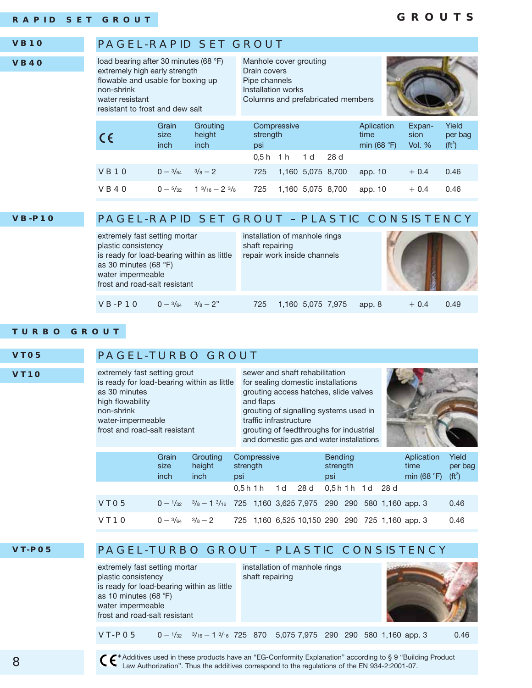### **GROUTS**



**VT05 VT10**

### PAGEL-TURBO GROUT

extremely fast setting grout is ready for load-bearing within as little as 30 minutes high flowability non-shrink water-impermeable frost and road-salt resistant

sewer and shaft rehabilitation for sealing domestic installations grouting access hatches, slide valves and flaps grouting of signalling systems used in traffic infrastructure grouting of feedthroughs for industrial and domestic gas and water installations



|      | Grain<br>size<br>inch                | Grouting<br>height<br><i>inch</i>                                                                  | strength<br>psi | Compressive |                                                 | <b>Bending</b><br>strength<br>psi |  | Aplication<br>time<br>min $(68 \degree F)$ | Yield<br>per bag<br>(f t <sup>3</sup> ) |
|------|--------------------------------------|----------------------------------------------------------------------------------------------------|-----------------|-------------|-------------------------------------------------|-----------------------------------|--|--------------------------------------------|-----------------------------------------|
|      |                                      |                                                                                                    |                 |             | 0,5h1h 1d 28d 0,5h1h 1d 28d                     |                                   |  |                                            |                                         |
| VTO5 |                                      | $0 - \frac{1}{32}$ $\frac{3}{8} - 1$ $\frac{3}{16}$ 725 1,160 3,625 7,975 290 290 580 1,160 app. 3 |                 |             |                                                 |                                   |  |                                            | 0.46                                    |
| VT1O | $0 - \frac{3}{64} - \frac{3}{8} - 2$ |                                                                                                    |                 |             | 725 1,160 6,525 10,150 290 290 725 1,160 app. 3 |                                   |  |                                            | 0.46                                    |

### **VT-P05** PAGEL-TURBO GROUT – PLASTIC CONSISTENCY

extremely fast setting mortar plastic consistency is ready for load-bearing within as little as 10 minutes (68 $°F$ ) water impermeable frost and road-salt resistant

installation of manhole rings shaft repairing



VT-PO5  $-$  1/ $_{32}$   $-$  3/ $_{16}$   $-$  1 <sup>3</sup>/ $_{16}$   $-$  725  $-$  870  $-$  5,075 7,975  $-$  290  $-$  290  $-$  580 1,160 app. 3  $\hskip -10.3cm$  0.46

 \*Additives used in these products have an "EG-Conformity Explanation" according to § 9 "Building Product Law Authorization". Thus the additives correspond to the regulations of the EN 934-2:2001-07.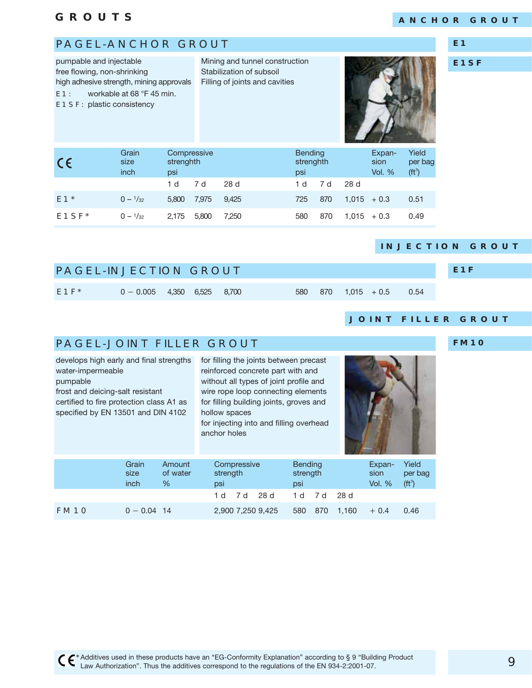pumpable and injectable

### **ANCHOR GROUT**

### PAGEL-ANCHOR GROUT

**E1**

**E1SF**

| free flowing, non-shrinking<br>high adhesive strength, mining approvals<br>workable at 68 °F 45 min.<br>E1:<br>E1SF: plastic consistency |            |                              |                                 |       | Stabilization of subsoil<br>Filling of joints and cavities |                                    |     |               |                                 |                                                |
|------------------------------------------------------------------------------------------------------------------------------------------|------------|------------------------------|---------------------------------|-------|------------------------------------------------------------|------------------------------------|-----|---------------|---------------------------------|------------------------------------------------|
|                                                                                                                                          | $\epsilon$ | Grain<br>size<br><i>inch</i> | Compressive<br>strenghth<br>psi |       |                                                            | <b>Bending</b><br>strenghth<br>psi |     |               | Expan-<br>sion<br><b>Vol. %</b> | Yield<br>per bag<br>( <b>ft</b> <sup>3</sup> ) |
|                                                                                                                                          |            |                              | 1 d                             | 7 d   | 28d                                                        | 1 d                                | 7 d | 28 d          |                                 |                                                |
|                                                                                                                                          | $E1*$      | $0 - \frac{1}{32}$           | 5,800                           | 7,975 | 9,425                                                      | 725                                | 870 | $1,015 + 0.3$ |                                 | 0.51                                           |
|                                                                                                                                          |            |                              |                                 |       |                                                            |                                    |     |               |                                 |                                                |

**E1SF\***  $0 - \frac{1}{32}$  2,175 5,800 7,250 580 870 1,015 + 0.3 0.49

Mining and tunnel construction

#### **INJECTION GROUT**

| <b>PAGEL-INJECTION GROUT</b> |                               |  |     |  |      | E <sub>1F</sub> |
|------------------------------|-------------------------------|--|-----|--|------|-----------------|
| $E1F^*$                      | $0 - 0.005$ 4,350 6,525 8,700 |  | 580 |  | 0.54 |                 |

#### **JOINT FILLER GROUT**

### PAGEL-JOINT FILLER GROUT

| develops high early and final strengths  | for filli |
|------------------------------------------|-----------|
| water-impermeable                        | reinfor   |
| pumpable                                 | withou    |
| frost and deicing-salt resistant         | wire ro   |
| certified to fire protection class A1 as | for filli |
| specified by EN 13501 and DIN 4102       | hollow    |
|                                          |           |

ng the joints between precast rced concrete part with and ut all types of joint profile and ope loop connecting elements ng building joints, groves and spaces for injecting into and filling overhead anchor holes



**CONTRACTOR** 

|             | Grain<br>size<br>inch | Amount<br>of water<br>$\%$ | Compressive<br>strength<br>psi |           |                   | <b>Bending</b><br>strength<br>psi |           |       | Expan-<br>sion<br><b>Vol. %</b> | Yield<br>per bag<br>$(ft^3)$ |
|-------------|-----------------------|----------------------------|--------------------------------|-----------|-------------------|-----------------------------------|-----------|-------|---------------------------------|------------------------------|
|             |                       |                            |                                | 1d 7d 28d |                   |                                   | 1d 7d 28d |       |                                 |                              |
| <b>FM10</b> | $0 - 0.04$ 14         |                            |                                |           | 2,900 7,250 9,425 | 580                               | 870       | 1.160 | $+0.4$                          | 0.46                         |

**FM10**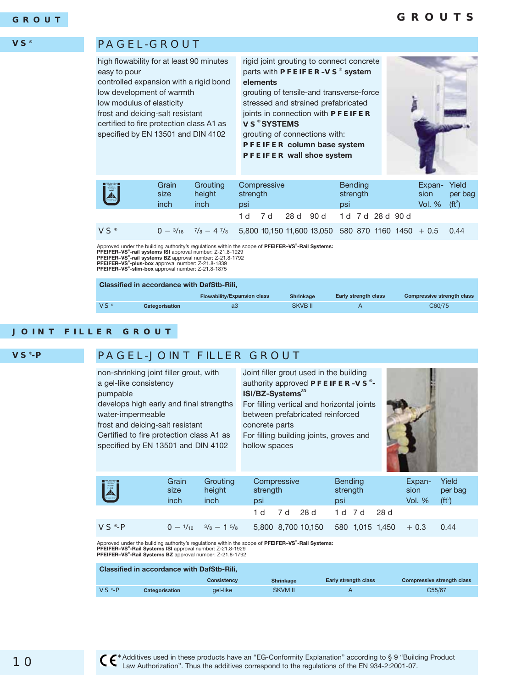### **GROUTS**

#### **VS®**

#### PAGEL-GROUT

high flowability for at least 90 minutes easy to pour

controlled expansion with a rigid bond low development of warmth

low modulus of elasticity frost and deicing-salt resistant

certified to fire protection class A1 as specified by EN 13501 and DIN 4102 rigid joint grouting to connect concrete parts with **PFEIFER–VS**® **system elements**

grouting of tensile-and transverse-force stressed and strained prefabricated joints in connection with **PFEIFER VS**® **SYSTEMS**

grouting of connections with: **PFEIFER column base system PFEIFER wall shoe system**



| U                      | Grain<br>size<br>inch | Grouting<br>height<br>inch | strength<br>psi | Compressive |           |                                                    | <b>Bending</b><br>strength<br>psi |               | Expan-<br>sion<br><b>Vol. %</b> | Yield<br>per bag<br>$(ft^3)$ |
|------------------------|-----------------------|----------------------------|-----------------|-------------|-----------|----------------------------------------------------|-----------------------------------|---------------|---------------------------------|------------------------------|
|                        |                       |                            | 1 d 7 d         |             | 28 d 90 d |                                                    |                                   | 1d 7d 28d 90d |                                 |                              |
| <b>VS</b> <sup>®</sup> | $0 - \frac{3}{16}$    | $^{7}/_8$ - 4 $^{7}/_8$    |                 |             |           | 5,800 10,150 11,600 13,050 580 870 1160 1450 + 0.5 |                                   |               |                                 | 0.44                         |

Approved under the building authority's regulations within the scope of **PFEIFER–VS<sup>®</sup>-Rail Systems:**<br>PFEIFER**–VS<sup>®</sup>-rail systems ISI** approval number: Z-21.8-1929<br>PFEIFER–VS<sup>®</sup>-ra**il systems BZ** approval number: Z-21.8-17

| <b>Classified in accordance with DafStb-Rili.</b> |                |                                    |                  |                             |                                   |  |  |  |  |  |  |
|---------------------------------------------------|----------------|------------------------------------|------------------|-----------------------------|-----------------------------------|--|--|--|--|--|--|
|                                                   |                | <b>Flowability/Expansion class</b> | <b>Shrinkage</b> | <b>Early strength class</b> | <b>Compressive strength class</b> |  |  |  |  |  |  |
| VS <sup>°</sup>                                   | Categorisation | a3                                 | SKVB II          | А                           | C60/75                            |  |  |  |  |  |  |

#### **JOINT FILLER GROUT**

 $VS<sup>°</sup>-P$ 

**VS®-P**

### PAGEL-JOINT FILLER GROUT

| non-shrinking joint filler grout, with<br>a gel-like consistency<br>pumpable<br>develops high early and final strengths<br>water-impermeable<br>frost and deicing-salt resistant<br>Certified to fire protection class A1 as<br>specified by EN 13501 and DIN 4102 |       |          | Joint filler grout used in the building<br>authority approved PFEIFER-VS®-<br>ISI/BZ-Systems <sup>3D</sup><br>For filling vertical and horizontal joints<br>between prefabricated reinforced<br>concrete parts<br>For filling building joints, groves and<br>hollow spaces |                |               |                     |
|--------------------------------------------------------------------------------------------------------------------------------------------------------------------------------------------------------------------------------------------------------------------|-------|----------|----------------------------------------------------------------------------------------------------------------------------------------------------------------------------------------------------------------------------------------------------------------------------|----------------|---------------|---------------------|
| $\begin{array}{l} \mathtt{W} = \mathtt{E} \mathtt{u} \mathtt{u} \mathtt{v} \\ \mathtt{V} \mathtt{u} \mathtt{v} \mathtt{u} \mathtt{v} \mathtt{v} \\ \mathtt{V} \mathtt{v} \mathtt{v} \mathtt{v} \mathtt{v} \mathtt{v} \end{array}$                                  | Grain | Grouting | Compressive                                                                                                                                                                                                                                                                | <b>Bending</b> | Expan-        | Yield               |
|                                                                                                                                                                                                                                                                    | size  | height   | strength                                                                                                                                                                                                                                                                   | strength       | sion          | per bag             |
|                                                                                                                                                                                                                                                                    | inch  | inch     | psi                                                                                                                                                                                                                                                                        | psi            | <b>Vol. %</b> | (f t <sup>3</sup> ) |

Approved under the building authority's regulations within the scope of **PFEIFER–VS® -Rail Systems: PFEIFER–VS® -Rail Systems ISI** approval number: Z-21.8-1929

 $0 - \frac{1}{16}$   $\frac{3}{8} - 1$   $\frac{5}{8}$ 

1 d 7 d 28 d 1 d 7 d 28 d

**PFEIFER–VS® -Rail Systems BZ** approval number: Z-21.8-1792

| <b>Classified in accordance with DafStb-Rili,</b> |                |                    |                  |                      |                            |  |  |  |  |  |  |
|---------------------------------------------------|----------------|--------------------|------------------|----------------------|----------------------------|--|--|--|--|--|--|
|                                                   |                | <b>Consistency</b> | <b>Shrinkage</b> | Early strength class | Compressive strength class |  |  |  |  |  |  |
| $VS^*$ -P                                         | Categorisation | ael-like           | SKVM II          |                      | C55/67                     |  |  |  |  |  |  |

 $5,800$  8,700 10,150 580 1,015 1,450 + 0.3 0.44

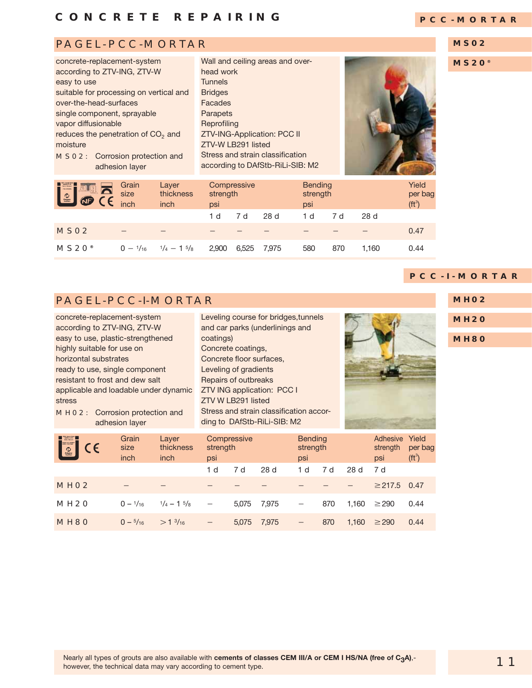### PAGEL-PCC-MORTAR

| concrete-replacement-system                    |  |  |  |  |  |  |  |  |
|------------------------------------------------|--|--|--|--|--|--|--|--|
| according to ZTV-ING, ZTV-W                    |  |  |  |  |  |  |  |  |
| easy to use                                    |  |  |  |  |  |  |  |  |
| suitable for processing on vertical and        |  |  |  |  |  |  |  |  |
| over-the-head-surfaces                         |  |  |  |  |  |  |  |  |
| single component, sprayable                    |  |  |  |  |  |  |  |  |
| vapor diffusionable                            |  |  |  |  |  |  |  |  |
| reduces the penetration of CO <sub>2</sub> and |  |  |  |  |  |  |  |  |
| moisture                                       |  |  |  |  |  |  |  |  |
| Corrosion protection and<br>MSO2:              |  |  |  |  |  |  |  |  |
| adhesion layer                                 |  |  |  |  |  |  |  |  |

Wall and ceiling areas and overhead work **Tunnels** Bridges Facades Parapets **Reprofiling** ZTV-ING-Application: PCC II ZTV-W LB291 listed Stress and strain classification according to DAfStb-RiLi-SIB: M2



|  |  | PCC-MORTAR |  |  |  |
|--|--|------------|--|--|--|
|  |  |            |  |  |  |

#### **MS02**

**MS20®**

| PRACTION<br>$\blacksquare$<br>NP | Grain<br>size<br>inch | Layer<br>thickness<br>inch   | strength<br>psi | Compressive |       | <b>Bending</b><br>strength<br>psi |     |       | Yield<br>per bag<br>( <b>ft</b> <sup>3</sup> ) |
|----------------------------------|-----------------------|------------------------------|-----------------|-------------|-------|-----------------------------------|-----|-------|------------------------------------------------|
|                                  |                       |                              | 1 d             | 7 d         | 28d   | 1 d                               | 7 d | 28d   |                                                |
| MSO <sub>2</sub>                 |                       |                              |                 |             |       |                                   |     |       | 0.47                                           |
| MS2O <sup>°</sup>                | $0 - \frac{1}{16}$    | $\frac{1}{4} - 1\frac{5}{8}$ | 2,900           | 6,525       | 7,975 | 580                               | 870 | 1.160 | 0.44                                           |

### **PCC-I-MORTAR**

### PAGEL-PCC-I-MORTAR

concrete-replacement-system according to ZTV-ING, ZTV-W easy to use, plastic-strengthened highly suitable for use on horizontal substrates ready to use, single component resistant to frost and dew salt applicable and loadable under dynamic stress

MH02: Corrosion protection and adhesion layer

Leveling course for bridges,tunnels and car parks (underlinings and coatings) Concrete coatings, Concrete floor surfaces, Leveling of gradients Repairs of outbreaks ZTV ING application: PCC I ZTV W LB291 listed Stress and strain classification according to DAfStb-RiLi-SIB: M2



**MH02**

**MH20**

**MH80**

| <b>Fille</b><br>$\epsilon$ | Grain<br>size<br>inch | Layer<br>thickness<br>inch   | psi                             | Compressive<br>strength |       |                          | <b>Bending</b><br>strength | Adhesive Yield<br>strength<br>psi | per bag<br>( <b>ft</b> <sup>3</sup> ) |      |
|----------------------------|-----------------------|------------------------------|---------------------------------|-------------------------|-------|--------------------------|----------------------------|-----------------------------------|---------------------------------------|------|
|                            |                       |                              | 1 d                             | 7 d                     | 28d   | 1 d                      | 7 d                        | 28 d                              | 7 d                                   |      |
| MHO <sub>2</sub>           |                       |                              |                                 |                         |       |                          |                            |                                   | $\geq$ 217.5                          | 0.47 |
| MH <sub>20</sub>           | $0 - \frac{1}{16}$    | $\frac{1}{4} - 1\frac{5}{8}$ | $\hspace{0.1mm}-\hspace{0.1mm}$ | 5.075                   | 7,975 | $\qquad \qquad -$        | 870                        | 1.160                             | $\geq$ 290                            | 0.44 |
| MH <sub>80</sub>           | $0 - \frac{5}{16}$    | $>1\frac{3}{16}$             | $\overline{\phantom{m}}$        | 5.075                   | 7,975 | $\overline{\phantom{m}}$ | 870                        | 1.160                             | $\geq$ 290                            | 0.44 |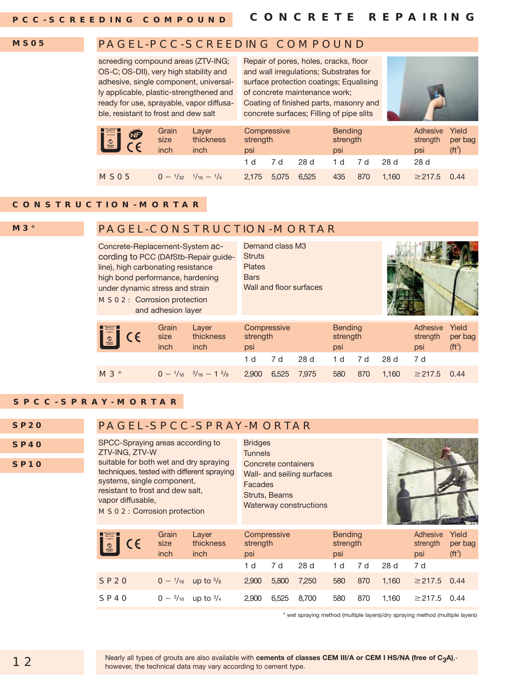**PCC-SCREEDING COMPOUND**

#### **MS05**

### PAGEL-PCC-SCREEDING COMPOUND

screeding compound areas (ZTV-ING; OS-C; OS-DII), very high stability and adhesive, single component, universally applicable, plastic-strengthened and ready for use, sprayable, vapor diffusable, resistant to frost and dew salt

Repair of pores, holes, cracks, floor and wall irregulations; Substrates for surface protection coatings; Equalising of concrete maintenance work; Coating of finished parts, masonry and concrete surfaces; Filling of pipe slits



| <b>I</b><br><b>B</b> | Grain<br>size<br>inch | Layer<br>thickness<br>inch                      | Compressive<br>strength<br>psi |       |       | <b>Bending</b><br>strength<br>psi |     |       | Adhesive<br>strength<br>psi | Yield<br>per bag<br>( <b>ft</b> <sup>3</sup> ) |
|----------------------|-----------------------|-------------------------------------------------|--------------------------------|-------|-------|-----------------------------------|-----|-------|-----------------------------|------------------------------------------------|
|                      |                       |                                                 | 1 d                            |       | 28d   | <sub>n</sub>                      | 7 d | 28 d  | 28 d                        |                                                |
| MSO <sub>5</sub>     |                       | $0 - \frac{1}{32} - \frac{1}{16} - \frac{1}{4}$ | 2.175                          | 5.075 | 6.525 | 435                               | 870 | 1.160 | $\geq$ 217.5                | 0.44                                           |

### **CONSTRUCTION-MORTAR**

**M3®**

### PAGEL-CONSTRUCTION-MORTAR

Concrete-Replacement-System according to PCC (DAfStb-Repair guideline), high carbonating resistance high bond performance, hardening under dynamic stress and strain MS02: Corrosion protection and adhesion layer

Demand class M3 **Struts** Plates **Bars** Wall and floor surfaces



| $\left[\begin{matrix} \boxed{\circ} \\ \boxed{\circ} \end{matrix}\right]$ CE | Grain<br>size<br>inch | Layer<br>thickness<br>inch                          | Compressive<br>strength<br>psi |       |       | <b>Bending</b><br>strength<br>psi |     |       | Adhesive<br>strength<br>psi | Yield<br>per bag<br>( <b>ft</b> <sup>3</sup> ) |
|------------------------------------------------------------------------------|-----------------------|-----------------------------------------------------|--------------------------------|-------|-------|-----------------------------------|-----|-------|-----------------------------|------------------------------------------------|
|                                                                              |                       |                                                     | 1 d                            | 7 d   | 28 d  | - d                               | 7 d | 28 d  | 7 d                         |                                                |
| $M3^*$                                                                       |                       | $0 - \frac{1}{16}$ $\frac{3}{16} - 1$ $\frac{5}{8}$ | 2.900                          | 6.525 | 7.975 | 580                               | 870 | 1.160 | $\geq$ 217.5                | 0.44                                           |

### **SPCC-SPRAY-MORTAR**

### PAGEL-SPCC-SPRAY-MORTAR

**SP40**

**SP20**

**SP10**

SPCC-Spraying areas according to ZTV-ING, ZTV-W suitable for both wet and dry spraying techniques, tested with different spraying systems, single component, resistant to frost and dew salt, vapor diffusable, MS02: Corrosion protection

Bridges **Tunnels** Concrete containers Wall- and seiling surfaces Facades Struts, Beams Waterway constructions



| $\left  \frac{1}{2} \right $ CE | Grain<br>size<br>inch | Layer<br>thickness<br>inch             | Compressive<br>strength<br>psi |              | 28d   | <b>Bending</b><br>strength<br>psi |            | 28 d  | Adhesive<br>strength<br>psi<br>7 d | Yield<br>per bag<br>( <b>ft</b> <sup>3</sup> ) |
|---------------------------------|-----------------------|----------------------------------------|--------------------------------|--------------|-------|-----------------------------------|------------|-------|------------------------------------|------------------------------------------------|
| <b>SP20</b>                     |                       | $0 - \frac{1}{16}$ up to $\frac{5}{8}$ | 1 d<br>2,900                   | 7 d<br>5,800 | 7.250 | 1 d<br>580                        | 7 d<br>870 | 1.160 | $\geq$ 217.5                       | 0.44                                           |
| SP40                            |                       | $0 - \frac{3}{16}$ up to $\frac{3}{4}$ | 2,900                          | 6,525        | 8.700 | 580                               | 870        | 1,160 | $\geq$ 217.5                       | 0.44                                           |

\* wet spraying method (multiple layers)/dry spraying method (multiple layers)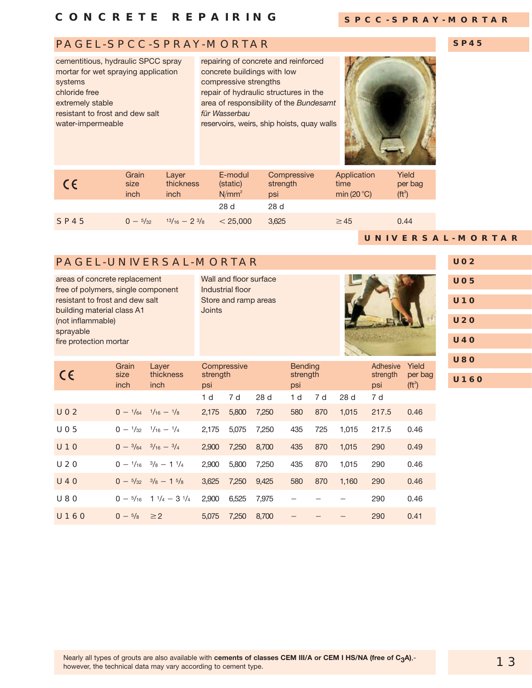#### **SPCC-SPRAY-MORTAR**

**SP45**

### PAGEL-SPCC-SPRAY-MORTAR

cementitious, hydraulic SPCC spray mortar for wet spraying application systems chloride free extremely stable resistant to frost and dew salt water-impermeable

repairing of concrete and reinforced concrete buildings with low compressive strengths repair of hydraulic structures in the area of responsibility of the *Bundesamt für Wasserbau* reservoirs, weirs, ship hoists, quay walls



| CE          | Grain<br>size<br>inch | Laver<br>thickness<br>inch | E-modul<br>(static)<br>$N/mm^2$ | Compressive<br>strength<br>psi | Application<br>time<br>min (20 $^{\circ}$ C) | Yield<br>per bag<br>(f t <sup>3</sup> ) |
|-------------|-----------------------|----------------------------|---------------------------------|--------------------------------|----------------------------------------------|-----------------------------------------|
|             |                       |                            | 28 d                            | 28d                            |                                              |                                         |
| <b>SP45</b> | $0 - \frac{5}{32}$    | $13/16 - 23/8$             | < 25,000                        | 3.625                          | $\geq$ 45                                    | 0.44                                    |

### PAGEL-UNIVERSAL-MORTAR

areas of concrete replacement free of polymers, single component resistant to frost and dew salt building material class A1 (not inflammable) sprayable fire protection mortar Wall and floor surface Industrial floor Store and ramp areas Joints

**UNIVERSAL-MORTAR U02 U05 U10 U20 U40 U80 U160**

| $\epsilon$      | Grain<br>size<br>inch | Layer<br>thickness<br>inch                         | strength<br>psi | Compressive |                 | <b>Bending</b><br>strength<br>psi |     |       | Adhesive<br>strength<br>psi | Yield<br>per bag<br>( <b>ft</b> <sup>3</sup> ) |
|-----------------|-----------------------|----------------------------------------------------|-----------------|-------------|-----------------|-----------------------------------|-----|-------|-----------------------------|------------------------------------------------|
|                 |                       |                                                    | 1 <sub>d</sub>  | 7 d         | 28 <sub>d</sub> | 1 d                               | 7 d | 28d   | 7 d                         |                                                |
| <b>UO2</b>      |                       | $0 - \frac{1}{64} - \frac{1}{16} - \frac{1}{8}$    | 2,175           | 5,800       | 7,250           | 580                               | 870 | 1,015 | 217.5                       | 0.46                                           |
| UO <sub>5</sub> | $0 - \frac{1}{32}$    | $\frac{1}{16} - \frac{1}{4}$                       | 2.175           | 5,075       | 7.250           | 435                               | 725 | 1.015 | 217.5                       | 0.46                                           |
| U1O             |                       | $0 - \frac{3}{64}$ $\frac{3}{16} - \frac{3}{4}$    | 2.900           | 7.250       | 8,700           | 435                               | 870 | 1.015 | 290                         | 0.49                                           |
| <b>U20</b>      |                       | $0 - \frac{1}{16}$ $\frac{3}{8} - 1\frac{1}{4}$    | 2.900           | 5,800       | 7,250           | 435                               | 870 | 1,015 | 290                         | 0.46                                           |
| <b>U40</b>      |                       | $0 - \frac{5}{32}$ $\frac{3}{8} - 1$ $\frac{5}{8}$ | 3,625           | 7.250       | 9,425           | 580                               | 870 | 1.160 | 290                         | 0.46                                           |
| <b>U80</b>      | $0 - \frac{5}{16}$    | $1^{1}/_4 - 3^{1}/_4$                              | 2,900           | 6,525       | 7.975           |                                   |     |       | 290                         | 0.46                                           |
| <b>U160</b>     | $0 - \frac{5}{8}$     | $\geq$ 2                                           | 5.075           | 7.250       | 8,700           |                                   |     |       | 290                         | 0.41                                           |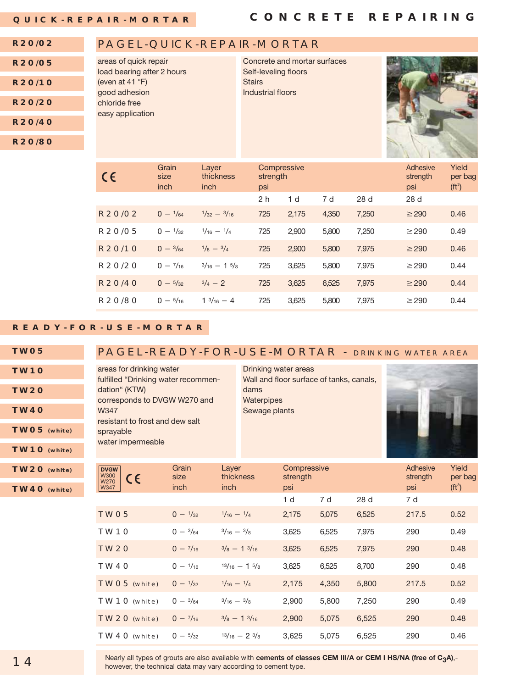#### **R20/02** PAGEL-QUICK-REPAIR-MORTAR

| <b>R20/05</b> | areas of quick repair<br>load bearing after 2 hours | Concrete and mortar surfaces<br>Self-leveling floors |  |
|---------------|-----------------------------------------------------|------------------------------------------------------|--|
| R20/10        | (even at 41 °F)<br>good adhesion                    | <b>Stairs</b><br>Industrial floors                   |  |
| R20/20        | chloride free<br>easy application                   |                                                      |  |
| <b>R20/40</b> |                                                     |                                                      |  |
| <b>R20/80</b> |                                                     |                                                      |  |
|               |                                                     |                                                      |  |



#### **READY-FOR-USE-MORTAR**

| <b>TWO5</b> |
|-------------|
| TW1O        |
|             |
| <b>TW2O</b> |

**TW40**

**TW05 (white)**

**TW10 (white)**

### PAGEL-READY-FOR-USE-MORTAR - DRINKING WATER AREA

areas for drinking water fulfilled "Drinking water recommendation" (KTW) corresponds to DVGW W270 and W347 resistant to frost and dew salt sprayable water impermeable

Drinking water areas Wall and floor surface of tanks, canals, dams **Waterpipes** Sewage plants



| TW20 (white)<br>TW40 (white) | <b>DVGW</b><br><b>W300</b><br>$\epsilon$<br>W270<br>W347 | Grain<br>size<br>inch | Layer<br>thickness<br>inch       | Compressive<br>strength<br>psi |       |       | Adhesive<br>strength<br>psi | Yield<br>per bag<br>$(tt^3)$ |
|------------------------------|----------------------------------------------------------|-----------------------|----------------------------------|--------------------------------|-------|-------|-----------------------------|------------------------------|
|                              |                                                          |                       |                                  | 1 <sub>d</sub>                 | 7 d   | 28 d  | 7 d                         |                              |
|                              | TWO <sub>5</sub>                                         | $0 - \frac{1}{32}$    | $\frac{1}{16} - \frac{1}{4}$     | 2,175                          | 5,075 | 6,525 | 217.5                       | 0.52                         |
|                              | TW <sub>10</sub>                                         | $0 - \frac{3}{64}$    | $\frac{3}{16} - \frac{3}{8}$     | 3,625                          | 6,525 | 7,975 | 290                         | 0.49                         |
|                              | <b>TW20</b>                                              | $0 - \frac{7}{16}$    | $\frac{3}{8}$ - 1 $\frac{3}{16}$ | 3,625                          | 6,525 | 7,975 | 290                         | 0.48                         |
|                              | TW40                                                     | $0 - \frac{1}{16}$    | $13/16 - 15/8$                   | 3,625                          | 6,525 | 8,700 | 290                         | 0.48                         |
|                              | TWO5 (white)                                             | $0 - \frac{1}{32}$    | $\frac{1}{16} - \frac{1}{4}$     | 2,175                          | 4,350 | 5,800 | 217.5                       | 0.52                         |
|                              | TW10 (white)                                             | $0 - \frac{3}{64}$    | $\frac{3}{16} - \frac{3}{8}$     | 2,900                          | 5,800 | 7,250 | 290                         | 0.49                         |
|                              | TW2O (white)                                             | $0 - \frac{7}{16}$    | $\frac{3}{8}$ - 1 $\frac{3}{16}$ | 2,900                          | 5,075 | 6,525 | 290                         | 0.48                         |
|                              | TW40 (white)                                             | $0 - \frac{5}{32}$    | $13/16 - 23/8$                   | 3,625                          | 5,075 | 6,525 | 290                         | 0.46                         |

Nearly all types of grouts are also available with **cements of classes CEM III/A or CEM I HS/NA (free of C<sub>3</sub>A),-**<br>however, the technical data may vary according to cement type.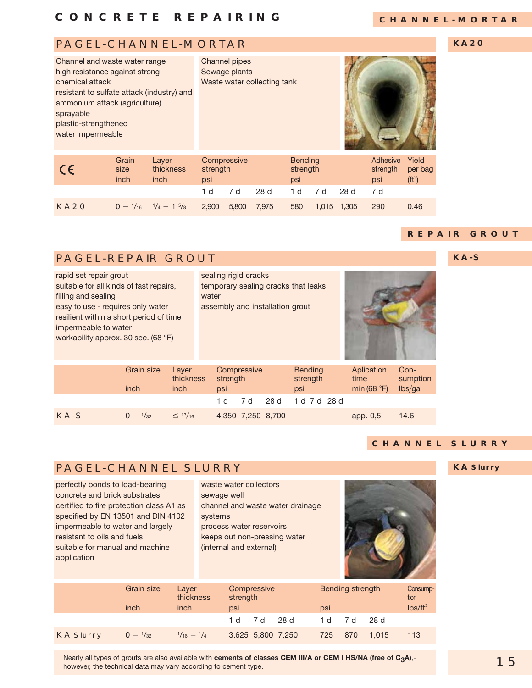### **CHANNEL-MORTAR**

### PAGEL-CHANNEL-MORTAR

**KA20**

| Channel and waste water range<br>high resistance against strong<br>chemical attack<br>resistant to sulfate attack (industry) and<br>ammonium attack (agriculture)<br>sprayable<br>plastic-strengthened<br>water impermeable |               |                    | Channel pipes<br>Sewage plants<br>Waste water collecting tank |                            |                                        |
|-----------------------------------------------------------------------------------------------------------------------------------------------------------------------------------------------------------------------------|---------------|--------------------|---------------------------------------------------------------|----------------------------|----------------------------------------|
| CE                                                                                                                                                                                                                          | Grain<br>size | Layer<br>thickness | Compressive<br>strength                                       | <b>Bending</b><br>strength | Yield<br>Adhesive<br>per b<br>strength |

| $\epsilon$  | size<br>inch | thickness<br>inch                                                                        | strenath<br>psi |              | strength<br>psi |              | strength per bag<br>psi | $(ft^3)$ |
|-------------|--------------|------------------------------------------------------------------------------------------|-----------------|--------------|-----------------|--------------|-------------------------|----------|
|             |              |                                                                                          |                 | 1 d 7 d 28 d |                 | 1 d 7 d 28 d | 7 d                     |          |
| <b>KA20</b> |              | $0 - \frac{1}{16}$ $\frac{1}{4} - 1$ $\frac{5}{8}$ 2,900 5,800 7,975 580 1,015 1,305 290 |                 |              |                 |              |                         | 0.46     |

#### **REPAIR GROUT**

**KA-S**

### PAGEL-REPAIR GROUT

| rapid set repair grout<br>suitable for all kinds of fast repairs,<br>filling and sealing<br>easy to use - requires only water<br>resilient within a short period of time<br>impermeable to water<br>workability approx. 30 sec. (68 °F) |                    |                            | sealing rigid cracks<br>temporary sealing cracks that leaks<br>water<br>assembly and installation grout |                   |      |                                   |                                     |                             |
|-----------------------------------------------------------------------------------------------------------------------------------------------------------------------------------------------------------------------------------------|--------------------|----------------------------|---------------------------------------------------------------------------------------------------------|-------------------|------|-----------------------------------|-------------------------------------|-----------------------------|
|                                                                                                                                                                                                                                         | Grain size<br>inch | Layer<br>thickness<br>inch | strength<br>psi                                                                                         | Compressive       |      | <b>Bending</b><br>strength<br>psi | Aplication<br>time<br>min $(68 °F)$ | Con-<br>sumption<br>lbs/gal |
|                                                                                                                                                                                                                                         |                    |                            | 1 d                                                                                                     | 7 d               | 28 d | 1 d 7 d 28 d                      |                                     |                             |
| $KA-S$                                                                                                                                                                                                                                  | $0 - \frac{1}{32}$ | $\leq$ 13/ <sub>16</sub>   |                                                                                                         | 4.350 7.250 8.700 |      |                                   | app. 0.5                            | 14.6                        |

### **CHANNEL SLURRY**

**KA Slurry**

### PAGEL-CHANNEL SLURRY

perfectly bonds to load-bearing concrete and brick substrates certified to fire protection class A1 as specified by EN 13501 and DIN 4102 impermeable to water and largely resistant to oils and fuels suitable for manual and machine application

waste water collectors sewage well channel and waste water drainage systems process water reservoirs keeps out non-pressing water (internal and external)



|                  | Grain size         | Laver<br>thickness           | Compressive<br>strength |                   |  | Bending strength |     | Consump-<br>tion |                   |
|------------------|--------------------|------------------------------|-------------------------|-------------------|--|------------------|-----|------------------|-------------------|
|                  | inch               | inch                         | psi                     |                   |  | psi              |     |                  | $\text{lbs/ft}^3$ |
|                  |                    |                              |                         | 1 d 7 d 28 d      |  | 1 d              | 7 d | -28 d            |                   |
| <b>KA Slurry</b> | $0 - \frac{1}{32}$ | $\frac{1}{16} - \frac{1}{4}$ |                         | 3,625 5,800 7,250 |  | 725              | 870 | 1.015            | 113               |

#### however, the technical data may vary according to cement type. Nearly all types of grouts are also available with **cements of classes CEM III/A or CEM I HS/NA (free of C<sub>3</sub>A)**, -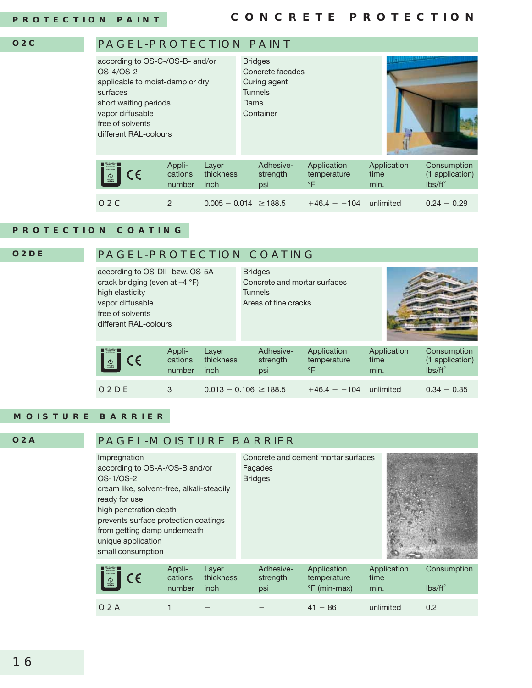#### **O2C**

### PAGEL-PROTECTION PAINT according to OS-C-/OS-B- and/or Bridges



### **PROTECTION COATING**

### PAGEL-PROTECTION COATING

| according to OS-DII- bzw. OS-5A<br>crack bridging (even at $-4$ $\degree$ F)<br>high elasticity<br>vapor diffusable<br>free of solvents<br>different RAL-colours |                             |                            | <b>Bridges</b><br>Concrete and mortar surfaces<br><b>Tunnels</b><br>Areas of fine cracks |                                            |                             |                                              |
|------------------------------------------------------------------------------------------------------------------------------------------------------------------|-----------------------------|----------------------------|------------------------------------------------------------------------------------------|--------------------------------------------|-----------------------------|----------------------------------------------|
| $\sqrt{\frac{1}{2}}$ CE                                                                                                                                          | Appli-<br>cations<br>number | Layer<br>thickness<br>inch | Adhesive-<br>strength<br>psi                                                             | Application<br>temperature<br>$\mathsf{P}$ | Application<br>time<br>min. | Consumption<br>(1 application)<br>$lbs/ft^2$ |
| O <sub>2</sub> DE                                                                                                                                                | 3                           |                            | $0.013 - 0.106 \ge 188.5$                                                                | $+46.4 - +104$                             | unlimited                   | $0.34 - 0.35$                                |

#### **MOISTURE BARRIER**

**O2A**

**O2DE**

### PAGEL-MOISTURE BARRIER

| Impregnation<br>according to OS-A-/OS-B and/or<br>OS-1/OS-2<br>cream like, solvent-free, alkali-steadily<br>ready for use<br>high penetration depth<br>prevents surface protection coatings<br>from getting damp underneath<br>unique application<br>small consumption |                             |                            | Facades<br><b>Bridges</b>    | Concrete and cement mortar surfaces        |                             |                           |
|------------------------------------------------------------------------------------------------------------------------------------------------------------------------------------------------------------------------------------------------------------------------|-----------------------------|----------------------------|------------------------------|--------------------------------------------|-----------------------------|---------------------------|
| CE<br>$\bigcirc$<br><i>Polymer</i><br>Inatiae                                                                                                                                                                                                                          | Appli-<br>cations<br>number | Layer<br>thickness<br>inch | Adhesive-<br>strength<br>psi | Application<br>temperature<br>°F (min-max) | Application<br>time<br>min. | Consumption<br>$lbs/ft^2$ |

**O2A** 1 - 1990 - 1990 <del>- 1990 - 1990 - 1990 - 1990 - 1990 - 1990 - 1990 - 1990 - 1990 - 1990 - 1990 - 1990 - 1990 - 1990 -</del>  $41 - 86$ unlimited 0.2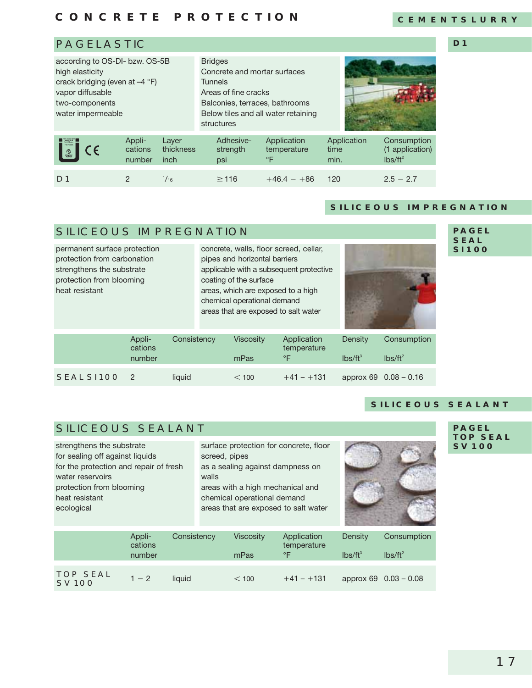### **CONCRETE PROTECTION**

#### **CEMENTSLURRY**

**D1**

### PAGELASTIC

| according to OS-DI- bzw. OS-5B<br>high elasticity<br>crack bridging (even at $-4$ °F)<br>vapor diffusable<br>two-components<br>water impermeable |   |           | <b>Bridges</b><br>Concrete and mortar surfaces<br><b>Tunnels</b><br>Areas of fine cracks<br>Balconies, terraces, bathrooms<br>structures |           | Below tiles and all water retaining |                             |                                              |
|--------------------------------------------------------------------------------------------------------------------------------------------------|---|-----------|------------------------------------------------------------------------------------------------------------------------------------------|-----------|-------------------------------------|-----------------------------|----------------------------------------------|
| Appli-<br>Laver<br><b>FRAMESA</b><br>$\epsilon$<br>cations<br>$\circ$<br>number<br>inch                                                          |   | thickness | Adhesive-<br>strength<br>psi                                                                                                             | $\circ$ F | Application<br>temperature          | Application<br>time<br>min. | Consumption<br>(1 application)<br>$Ibs/ft^2$ |
| D <sub>1</sub>                                                                                                                                   | 2 | 1/16      | $\geq$ 116                                                                                                                               |           | $+46.4 - +86$                       | 120                         | $2.5 - 2.7$                                  |

#### **SILICEOUS IMPREGNATION**

### SILICEOUS IMPREGNATION

permanent surface protection protection from carbonation strengthens the substrate protection from blooming heat resistant concrete, walls, floor screed, cellar, pipes and horizontal barriers applicable with a subsequent protective coating of the surface areas, which are exposed to a high chemical operational demand areas that are exposed to salt water Appli- Consistency Viscosity Application Density Consumption<br>cations temperature temperature number me $\mathsf{mP}$ as  $\mathsf{e}\mathsf{F}$  lbs/ft $^3$  $\text{lbs/ft}^3$   $\text{lbs/ft}^2$ **SEAL SI 100** 2 liquid  $\leq 100 + 41 - 131$  approx 69 0.08 – 0.16

#### **PAGEL SEAL SI 100**

### SILICEOUS SEALANT

strengthens the substrate for sealing off against liquids for the protection and repair of fresh water reservoirs protection from blooming heat resistant ecological

surface protection for concrete, floor screed, pipes as a sealing against dampness on walls areas with a high mechanical and chemical operational demand areas that are exposed to salt water



**PAGEL TOP SEAL SV 100**

**SILICEOUS SEALANT**

|                                  | Appli-<br>cations | Consistency | <b>Viscosity</b> | Application<br>temperature | Density    | Consumption           |
|----------------------------------|-------------------|-------------|------------------|----------------------------|------------|-----------------------|
|                                  | number            |             | mPas             | °F                         | $lbs/ft^3$ | $lbs/ft^2$            |
|                                  |                   |             |                  |                            |            |                       |
| <b>TOP SEAL</b><br><b>SV 100</b> | $1 - 2$           | liauid      | < 100            | $+41 - +131$               |            | approx 69 0.03 - 0.08 |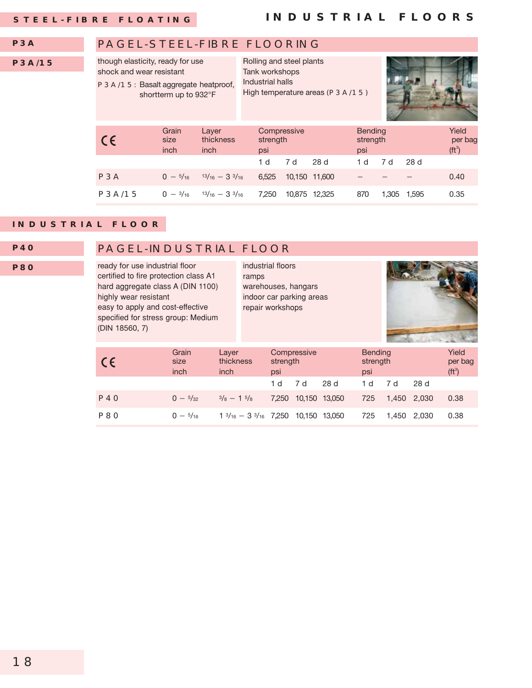#### PAGEL-STEEL-FIBRE FLOORING though elasticity, ready for use shock and wear resistant P3A/15: Basalt aggregate heatproof, shortterm up to 932°F Rolling and steel plants Tank workshops Industrial halls High temperature areas (P3A/15) **P3A P3A/15** Grain Layer Compressive Bending Yield C F size thickness strength strength strength per bag inch inch psi psi psi psi psi  $(\mathfrak{f}^3)$  $(ft^3)$ 1 d 7 d 28 d 1 d 7 d 28 d **P3A**  $0 - \frac{5}{16}$  $13/16 - 33/16$  $6,525$  10,150 11,600 - - - 0.40  $P3A/15$  $0 - \frac{3}{16}$   $\frac{13}{16} - \frac{3}{3}{16}$ 3 3/16 7,250 10,875 12,325 870 1,305 1,595 0.35

#### **INDUSTRIAL FLOOR**

### **P40**

**P80**

#### PAGEL-INDUSTRIAL FLOOR

ready for use industrial floor certified to fire protection class A1 hard aggregate class A (DIN 1100) highly wear resistant easy to apply and cost-effective specified for stress group: Medium (DIN 18560, 7)

ramps warehouses, hangars indoor car parking areas repair workshops

industrial floors



| $\epsilon$ | Grain<br>size<br>inch | Layer<br>thickness<br>inch                          | Compressive<br>strength<br>psi |     |               | <b>Bending</b><br>strength<br>psi | Yield<br>per bag<br>( <b>ft</b> <sup>3</sup> ) |       |      |
|------------|-----------------------|-----------------------------------------------------|--------------------------------|-----|---------------|-----------------------------------|------------------------------------------------|-------|------|
|            |                       |                                                     | 1 d                            | 7 d | 28 d          | 1 d                               | 7 d                                            | 28 d  |      |
| P4O        | $0 - \frac{5}{32}$    | $\frac{3}{8} - 1\frac{5}{8}$                        | 7.250                          |     | 10,150 13,050 | 725                               | 1.450 2.030                                    |       | 0.38 |
| P80        | $0 - \frac{5}{16}$    | $1\frac{3}{16} - 3\frac{3}{16}$ 7,250 10,150 13,050 |                                |     |               | 725                               | 1.450                                          | 2.030 | 0.38 |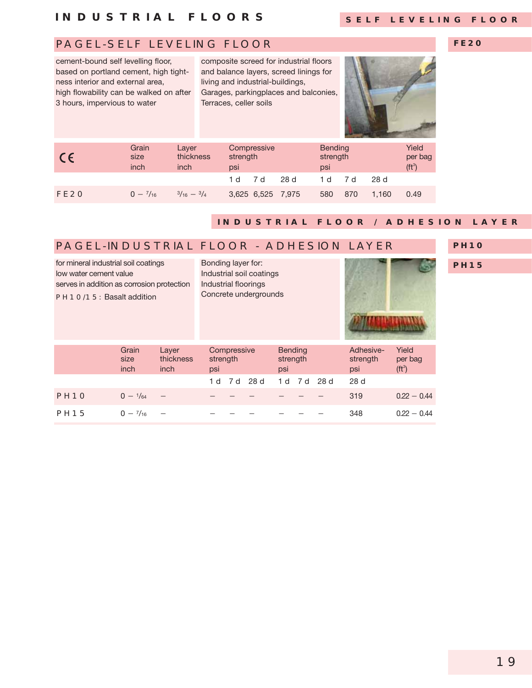### **INDUSTRIAL FLOORS**

### **SELF LEVELING FLOOR**

**FE20**

### PAGEL-SELF LEVELING FLOOR

cement-bound self levelling floor, based on portland cement, high tightness interior and external area, high flowability can be walked on after 3 hours, impervious to water

composite screed for industrial floors and balance layers, screed linings for living and industrial-buildings, Garages, parkingplaces and balconies, Terraces, celler soils



| $\epsilon$       | Grain<br>size<br>inch | Layer<br>thickness<br>inch | strength<br>psi | Compressive       |     | <b>Bending</b><br>strength<br>psi |     |       | Yield<br>per bag<br>(ft <sup>3</sup> ) |
|------------------|-----------------------|----------------------------|-----------------|-------------------|-----|-----------------------------------|-----|-------|----------------------------------------|
|                  |                       |                            | 1 d             | 7 d               | 28d | 1 d                               | 7 d | 28 d  |                                        |
| FE <sub>20</sub> | $0 - \frac{7}{16}$    | $3/16 - 3/4$               |                 | 3,625 6,525 7,975 |     | 580                               | 870 | 1.160 | 0.49                                   |

### **INDUSTR IAL FLOOR / ADHES ION LAYER**

| <b>PAGEL-INDUSTRIAL FLOOR - ADHESION LAYER</b>                                                                                                  |                                            |                            |                                                   |             |      |                                   |     |     |                              |                                                |
|-------------------------------------------------------------------------------------------------------------------------------------------------|--------------------------------------------|----------------------------|---------------------------------------------------|-------------|------|-----------------------------------|-----|-----|------------------------------|------------------------------------------------|
| for mineral industrial soil coatings<br>low water cement value<br>serves in addition as corrosion protection<br><b>PH1O/15: Basalt addition</b> | Bonding layer for:<br>Industrial floorings |                            | Industrial soil coatings<br>Concrete undergrounds |             |      |                                   |     |     |                              |                                                |
|                                                                                                                                                 | Grain<br>size<br>inch                      | Layer<br>thickness<br>inch | strength<br>psi                                   | Compressive |      | <b>Bending</b><br>strength<br>psi |     |     | Adhesive-<br>strength<br>psi | Yield<br>per bag<br>( <b>ft</b> <sup>3</sup> ) |
|                                                                                                                                                 |                                            |                            | 1 d                                               | 7 d         | 28 d | 1 d                               | 7 d | 28d | 28d                          |                                                |
| PH <sub>10</sub>                                                                                                                                | $0 - \frac{1}{64}$                         |                            |                                                   |             |      |                                   |     |     | 319                          | $0.22 - 0.44$                                  |
| <b>PH15</b>                                                                                                                                     | $0 - \frac{7}{16}$                         |                            |                                                   |             |      |                                   |     |     | 348                          | $0.22 - 0.44$                                  |

#### **PH10**

**PH15**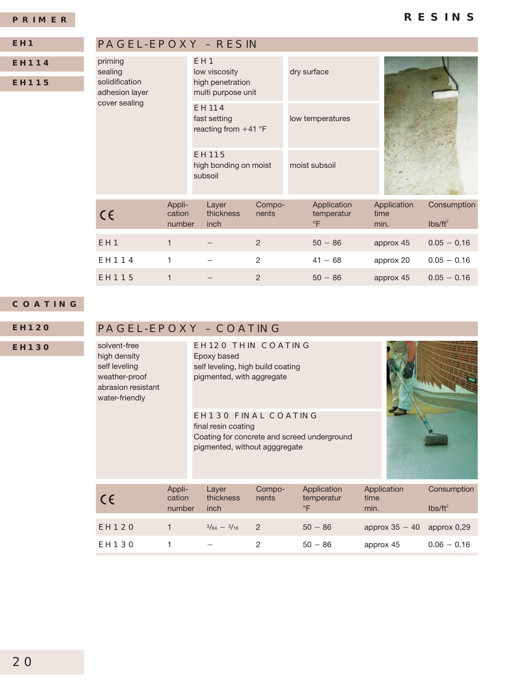#### **PRIMER**

| EH1          |  |
|--------------|--|
| <b>EH114</b> |  |
|              |  |

**EH115**

### PAGEL-EPOXY – RESIN

| priming<br>sealing<br>solidification<br>adhesion layer |                                                        | EH <sub>1</sub><br>low viscosity<br>high penetration<br>multi purpose unit |                 | dry surface                            |                             |                                  |
|--------------------------------------------------------|--------------------------------------------------------|----------------------------------------------------------------------------|-----------------|----------------------------------------|-----------------------------|----------------------------------|
| cover sealing                                          | <b>EH114</b><br>fast setting<br>reacting from $+41$ °F |                                                                            |                 | low temperatures                       |                             |                                  |
|                                                        |                                                        | <b>EH115</b><br>high bonding on moist<br>subsoil                           |                 | moist subsoil                          |                             |                                  |
| $C \in$                                                | Appli-<br>cation<br>number                             | Layer<br>thickness<br>inch                                                 | Compo-<br>nents | Application<br>temperatur<br>$\circ$ F | Application<br>time<br>min. | Consumption<br>$\text{Ibs/ft}^2$ |
| EH <sub>1</sub>                                        | 1                                                      |                                                                            | 2               | $50 - 86$                              | approx 45                   | $0.05 - 0.16$                    |
| EH114                                                  |                                                        |                                                                            | 2               | $41 - 68$                              | approx 20                   | $0.05 - 0.16$                    |

 $2 \t\t 41 - 68$ 

 $2 \t\t 50 - 86$ 

#### **COATING**

**EH120**

#### **EH130**

### PAGEL-EPOXY – COATING

EH115 1

solvent-free high density self leveling weather-proof abrasion resistant water-friendly

EH120 THIN COATING Epoxy based self leveling, high build coating pigmented, with aggregate

#### EH130 FINAL COATING final resin coating Coating for concrete and screed underground pigmented, without agggregate



 $0.05 - 0.16$ 

 $0.05 - 0.16$ 

approx 20

approx 45

| $\epsilon$   | Appli-<br>cation<br>number | Layer<br>thickness<br>inch | Compo-<br>nents | Application<br>temperatur<br>$^{\circ}$ F | Application<br>time<br>min.  | Consumption<br>$Ibs/ft^2$ |
|--------------|----------------------------|----------------------------|-----------------|-------------------------------------------|------------------------------|---------------------------|
| <b>EH120</b> |                            | $3/64 - 3/16$              | $\overline{2}$  | $50 - 86$                                 | approx $35 - 40$ approx 0.29 |                           |
| <b>EH130</b> |                            |                            |                 | $50 - 86$                                 | approx 45                    | $0.06 - 0.16$             |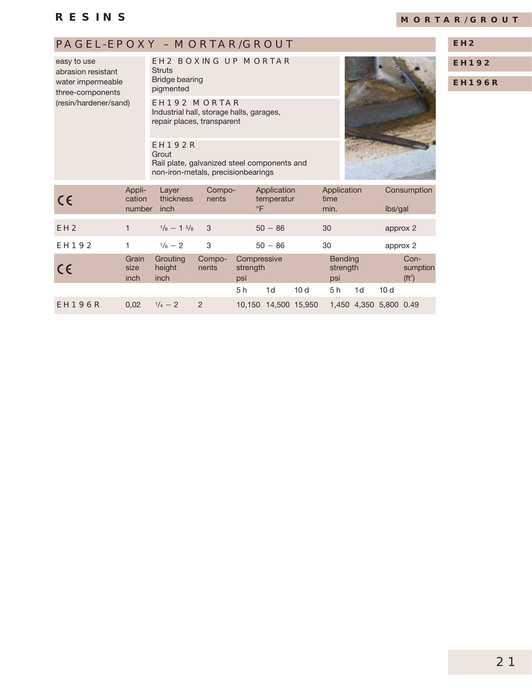### **RESINS**

### **MORTAR/GROUT**

### PAGEL-EPOXY - MORTAR/GROUT **EH2**

easy to use abrasion resistant water impermeable three-components (resin/hardener/sand)

### EH2 BOXING UP MORTAR

**Struts** Bridge bearing pigmented

EH192 MORTAR Industrial hall, storage halls, garages, repair places, transparent

EH192R **Grout** Rail plate, galvanized steel components and non-iron-metals, precisionbearings



**EH192**

**EH196R**

| CE              | Appli-<br>cation<br>number | Layer<br>thickness<br>inch | Compo-<br>nents | $\circ$ F                      | Application<br>temperatur |               | Application<br>time<br>min.       |                        | lbs/gal         | Consumption                                    |
|-----------------|----------------------------|----------------------------|-----------------|--------------------------------|---------------------------|---------------|-----------------------------------|------------------------|-----------------|------------------------------------------------|
| EH <sub>2</sub> | 1                          | $1/8 - 15/8$               | - 3             |                                | $50 - 86$                 |               | 30                                |                        | approx 2        |                                                |
| <b>EH192</b>    |                            | $\frac{1}{8} - 2$          | 3               |                                | $50 - 86$                 |               | 30                                |                        | approx 2        |                                                |
| CE              | Grain<br>size<br>inch      | Grouting<br>height<br>inch | Compo-<br>nents | Compressive<br>strength<br>psi |                           |               | <b>Bending</b><br>strength<br>psi |                        |                 | Con-<br>sumption<br>( <b>ft</b> <sup>2</sup> ) |
|                 |                            |                            |                 | 5 h                            | 1d                        | 10d           | 5h                                | 1d                     | 10 <sub>d</sub> |                                                |
| <b>EH196R</b>   | 0,02                       | $\frac{1}{4} - 2$          | $\overline{2}$  | 10.150                         |                           | 14,500 15,950 |                                   | 1,450 4,350 5,800 0.49 |                 |                                                |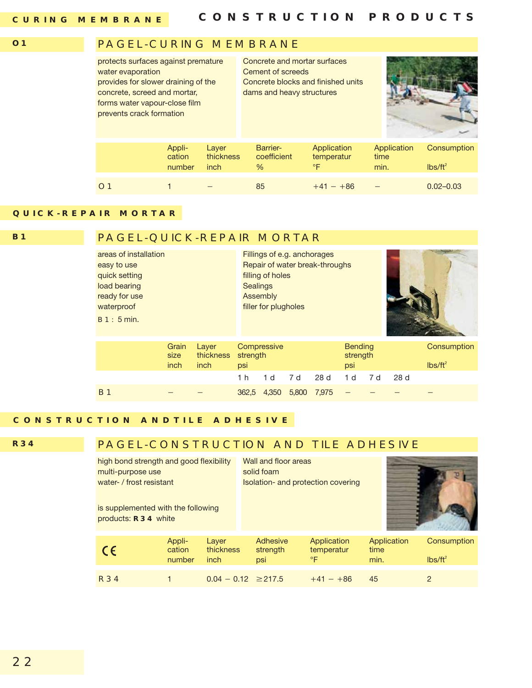#### **O1**

### PAGEL-CURING MEMBRANE

| protects surfaces against premature<br>water evaporation<br>provides for slower draining of the<br>concrete, screed and mortar,<br>forms water vapour-close film<br>prevents crack formation |                            |                            | Concrete and mortar surfaces<br>Cement of screeds<br>dams and heavy structures | Concrete blocks and finished units |                             |                           |
|----------------------------------------------------------------------------------------------------------------------------------------------------------------------------------------------|----------------------------|----------------------------|--------------------------------------------------------------------------------|------------------------------------|-----------------------------|---------------------------|
|                                                                                                                                                                                              | Appli-<br>cation<br>number | Layer<br>thickness<br>inch | Barrier-<br>coefficient<br>$\frac{0}{6}$                                       | Application<br>temperatur<br>°F    | Application<br>time<br>min. | Consumption<br>$lbs/ft^2$ |
|                                                                                                                                                                                              |                            |                            | 85                                                                             | $+41 - +86$                        |                             | $0.02 - 0.03$             |

### **QUICK-REPAIR MORTAR**

**B1**

### PAGEL-QUICK-REPAIR MORTAR

| areas of installation<br>easy to use<br>quick setting<br>load bearing<br>ready for use<br>waterproof<br>B1:5min |                       |                            |                 | Fillings of e.g. anchorages<br>Repair of water break-throughs<br>filling of holes<br><b>Sealings</b><br>Assembly<br>filler for plugholes |       |       |                                   |     |     |                           |
|-----------------------------------------------------------------------------------------------------------------|-----------------------|----------------------------|-----------------|------------------------------------------------------------------------------------------------------------------------------------------|-------|-------|-----------------------------------|-----|-----|---------------------------|
|                                                                                                                 | Grain<br>size<br>inch | Layer<br>thickness<br>inch | strength<br>psi | Compressive                                                                                                                              |       |       | <b>Bending</b><br>strength<br>psi |     |     | Consumption<br>$Ibs/ft^2$ |
|                                                                                                                 |                       |                            | 1 h             | 1 <sub>d</sub>                                                                                                                           | 7 d   | 28d   | 1 <sub>d</sub>                    | 7 d | 28d |                           |
| <b>B</b> 1                                                                                                      |                       |                            | 362.5           | 4.350                                                                                                                                    | 5,800 | 7.975 |                                   |     |     |                           |

### **CONSTRUCTION ANDTILE ADHESIVE**

**R34**

### PAGEL-CONSTRUCTION AND TILE ADHESIVE

| high bond strength and good flexibility<br>multi-purpose use<br>water- / frost resistant<br>is supplemented with the following<br>products: R34 white |                            |                            | Wall and floor areas<br>solid foam<br>Isolation- and protection covering |                                        |                             |                           |
|-------------------------------------------------------------------------------------------------------------------------------------------------------|----------------------------|----------------------------|--------------------------------------------------------------------------|----------------------------------------|-----------------------------|---------------------------|
| $\epsilon$                                                                                                                                            | Appli-<br>cation<br>number | Layer<br>thickness<br>inch | Adhesive<br>strength<br>psi                                              | Application<br>temperatur<br>$\circ$ F | Application<br>time<br>min. | Consumption<br>$Ibs/ft^2$ |
| <b>R34</b>                                                                                                                                            |                            | $0.04 - 0.12 \ge 217.5$    |                                                                          | $+41 - +86$                            | 45                          | 2                         |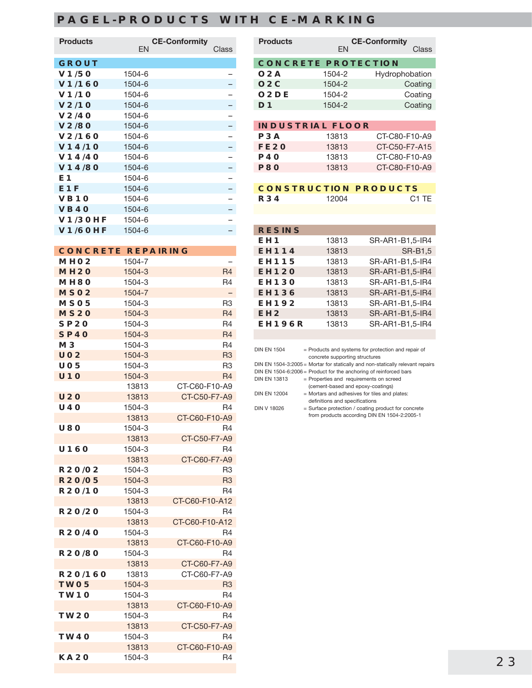### **PAGEL-PRODUCTS WITH CE-MARKING**

| <b>Products</b>   | <b>CE-Conformity</b><br><b>FN</b> | Class |
|-------------------|-----------------------------------|-------|
| <b>GROUT</b>      |                                   |       |
| V1/50             | 1504-6                            |       |
| V1/160            | 1504-6                            |       |
| V1/1O             | 1504-6                            |       |
| V <sub>2/10</sub> | 1504-6                            |       |
| V <sub>2/40</sub> | 1504-6                            |       |
| V2/80             | 1504-6                            |       |
| V2/160            | 1504-6                            |       |
| V14/10            | 1504-6                            |       |
| V14/40            | 1504-6                            |       |
| V14/80            | 1504-6                            |       |
| E1                | 1504-6                            |       |
| E <sub>1F</sub>   | 1504-6                            |       |
| VB10              | 1504-6                            |       |
| <b>VB40</b>       | 1504-6                            |       |
| <b>V1/30HF</b>    | 1504-6                            |       |
| <b>V1/60HF</b>    | 1504-6                            |       |
|                   |                                   |       |

| <b>CONCRETE REPAIRING</b> |        |                          |
|---------------------------|--------|--------------------------|
| MHO <sub>2</sub>          | 1504-7 |                          |
| <b>MH20</b>               | 1504-3 | R <sub>4</sub>           |
| MH80                      | 1504-3 | R4                       |
| MSO <sub>2</sub>          | 1504-7 | $\overline{\phantom{0}}$ |
| MSO <sub>5</sub>          | 1504-3 | R <sub>3</sub>           |
| <b>MS20</b>               | 1504-3 | R <sub>4</sub>           |
| <b>SP20</b>               | 1504-3 | R4                       |
| <b>SP40</b>               | 1504-3 | R <sub>4</sub>           |
| MЗ                        | 1504-3 | R4                       |
| <b>UO2</b>                | 1504-3 | R <sub>3</sub>           |
| UO5                       | 1504-3 | R3                       |
| <b>U10</b>                | 1504-3 | R <sub>4</sub>           |
|                           | 13813  | CT-C60-F10-A9            |
| <b>U20</b>                | 13813  | CT-C50-F7-A9             |
| <b>U40</b>                | 1504-3 | R4                       |
|                           | 13813  | CT-C60-F10-A9            |
| U80                       | 1504-3 | R4                       |
|                           | 13813  | CT-C50-F7-A9             |
| <b>U160</b>               | 1504-3 | R4                       |
|                           | 13813  | CT-C60-F7-A9             |
| R20/02                    | 1504-3 | R3                       |
| <b>R20/05</b>             | 1504-3 | R <sub>3</sub>           |
| R20/10                    | 1504-3 | R4                       |
|                           | 13813  | CT-C60-F10-A12           |
| R20/20                    | 1504-3 | R4                       |
|                           | 13813  | CT-C60-F10-A12           |
| R20/40                    | 1504-3 | R4                       |
|                           | 13813  | CT-C60-F10-A9            |
| R20/80                    | 1504-3 | R4                       |
|                           | 13813  | CT-C60-F7-A9             |
| R20/160                   | 13813  | CT-C60-F7-A9             |
| <b>TWO5</b>               | 1504-3 | R <sub>3</sub>           |
| TW1O                      | 1504-3 | R4                       |
|                           | 13813  | CT-C60-F10-A9            |
| <b>TW2O</b>               | 1504-3 | R4                       |
|                           | 13813  | CT-C50-F7-A9             |
| TW40                      | 1504-3 | R4                       |
|                           | 13813  | CT-C60-F10-A9            |
| <b>KA2O</b>               | 1504-3 | R4                       |

| <b>Products</b>     | <b>CE-Conformity</b>                                                            |                                                                                                     |  |
|---------------------|---------------------------------------------------------------------------------|-----------------------------------------------------------------------------------------------------|--|
|                     | <b>FN</b>                                                                       | Class                                                                                               |  |
| <b>CONCRETE</b>     |                                                                                 | <b>PROTECTION</b>                                                                                   |  |
| O2A                 | 1504-2                                                                          | Hydrophobation                                                                                      |  |
| O2C                 | 1504-2                                                                          | Coating                                                                                             |  |
| O <sub>2</sub> DE   | 1504-2                                                                          | Coating                                                                                             |  |
| D1                  | 1504-2                                                                          | Coating                                                                                             |  |
|                     | <b>INDUSTRIAL FLOOR</b>                                                         |                                                                                                     |  |
| P3A                 | 13813                                                                           | CT-C80-F10-A9                                                                                       |  |
| <b>FE20</b>         | 13813                                                                           | CT-C50-F7-A15                                                                                       |  |
| P4O                 | 13813                                                                           | CT-C80-F10-A9                                                                                       |  |
| <b>P80</b>          | 13813                                                                           | CT-C80-F10-A9                                                                                       |  |
|                     | <b>CONSTRUCTION PRODUCTS</b>                                                    |                                                                                                     |  |
| <b>R34</b>          | 12004                                                                           | C1 TF                                                                                               |  |
| <b>RESINS</b>       |                                                                                 |                                                                                                     |  |
| EH <sub>1</sub>     | 13813                                                                           | SR-AR1-B1,5-IR4                                                                                     |  |
| <b>EH114</b>        | 13813                                                                           | <b>SR-B1,5</b>                                                                                      |  |
| <b>EH115</b>        | 13813                                                                           | SR-AR1-B1,5-IR4                                                                                     |  |
| <b>EH120</b>        | 13813                                                                           | SR-AR1-B1,5-IR4                                                                                     |  |
| <b>EH130</b>        | 13813                                                                           | SR-AR1-B1,5-IR4                                                                                     |  |
| <b>EH136</b>        | 13813                                                                           | SR-AR1-B1,5-IR4                                                                                     |  |
| <b>EH192</b>        | 13813                                                                           | SR-AR1-B1,5-IR4                                                                                     |  |
| EH <sub>2</sub>     | 13813                                                                           | SR-AR1-B1,5-IR4                                                                                     |  |
| <b>EH196R</b>       | 13813                                                                           | SR-AR1-B1,5-IR4                                                                                     |  |
| <b>DIN EN 1504</b>  |                                                                                 | = Products and systems for protection and repair of                                                 |  |
|                     | concrete supporting structures                                                  | DIN EN 1504-3:2005 = Mortar for statically and non-statically relevant repairs                      |  |
|                     | DIN EN 1504-6:2006 = Product for the anchoring of reinforced bars               |                                                                                                     |  |
| <b>DIN EN 13813</b> | = Properties and requirements on screed<br>(cement-based and epoxy-coatings)    |                                                                                                     |  |
| <b>DIN EN 12004</b> | = Mortars and adhesives for tiles and plates:<br>definitions and specifications |                                                                                                     |  |
| <b>DIN V 18026</b>  |                                                                                 | = Surface protection / coating product for concrete<br>from products according DIN EN 1504-2:2005-1 |  |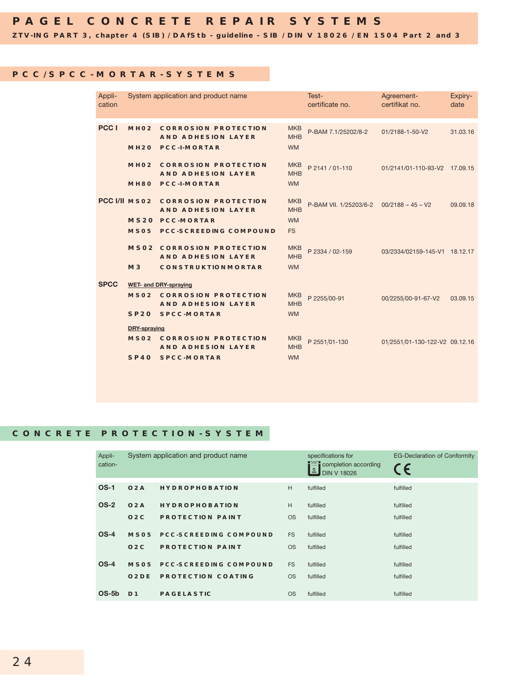**ZTV-ING PART 3, chapter 4 (SIB) / DAfStb - guideline - SIB / DIN V 18026 / EN 1504 Part 2 and 3**

#### **PCC/SPCC-MORTAR-SYSTEMS**

| Appli-<br>cation |                     | System application and product name                                                        |                                       | Test-<br>certificate no. | Agreement-<br>certifikat no.   | Expiry-<br>date |
|------------------|---------------------|--------------------------------------------------------------------------------------------|---------------------------------------|--------------------------|--------------------------------|-----------------|
| PCC <sub>1</sub> | MHO <sub>2</sub>    | <b>CORROSION PROTECTION</b><br><b>AND ADHESION LAYER</b><br>MH2O PCC-I-MORTAR              | <b>MKB</b><br><b>MHB</b><br><b>WM</b> | P-BAM 7.1/25202/8-2      | 01/2188-1-50-V2                | 31.03.16        |
|                  | MHO <sub>2</sub>    | <b>CORROSION PROTECTION</b><br><b>AND ADHESION LAYER</b><br>MH80 PCC-I-MORTAR              | <b>MKB</b><br><b>MHB</b><br><b>WM</b> | P 2141 / 01-110          | 01/2141/01-110-93-V2 17.09.15  |                 |
|                  |                     | PCC I/II MSO2 CORROSION PROTECTION<br><b>AND ADHESION LAYER</b><br><b>MS20 PCC-MORTAR</b>  | <b>MKB</b><br><b>MHB</b><br><b>WM</b> | P-BAM VII. 1/25203/6-2   | $00/2188 - 45 - V2$            | 09.09.18        |
|                  | MSO <sub>5</sub>    | <b>PCC-SCREEDING COMPOUND</b>                                                              | <b>FS</b>                             |                          |                                |                 |
|                  | M3                  | <b>MSO2 CORROSION PROTECTION</b><br><b>AND ADHESION LAYER</b><br><b>CONSTRUKTIONMORTAR</b> | <b>MKB</b><br><b>MHB</b><br><b>WM</b> | P 2334 / 02-159          | 03/2334/02159-145-V1 18.12.17  |                 |
| <b>SPCC</b>      |                     | <b>WET- and DRY-spraying</b>                                                               |                                       |                          |                                |                 |
|                  |                     | <b>MSO2 CORROSION PROTECTION</b><br><b>AND ADHESION LAYER</b>                              | <b>MKB</b><br><b>MHB</b>              | P 2255/00-91             | 00/2255/00-91-67-V2            | 03.09.15        |
|                  |                     | <b>SP20 SPCC-MORTAR</b>                                                                    | <b>WM</b>                             |                          |                                |                 |
|                  | <b>DRY-spraying</b> |                                                                                            |                                       |                          |                                |                 |
|                  |                     | <b>MSO2 CORROSION PROTECTION</b><br><b>AND ADHESION LAYER</b>                              | <b>MKB</b><br><b>MHB</b>              | P 2551/01-130            | 01/2551/01-130-122-V2 09.12.16 |                 |
|                  | SP40                | <b>SPCC-MORTAR</b>                                                                         | <b>WM</b>                             |                          |                                |                 |

### **CONCRETE PROTECTION-SYSTEM**

| Appli-<br>cation- |                   | System application and product name |           | specifications for<br>completion according<br>$\frac{1}{2}$<br><b>DIN V 18026</b> | <b>EG-Declaration of Conformity</b><br>CE |
|-------------------|-------------------|-------------------------------------|-----------|-----------------------------------------------------------------------------------|-------------------------------------------|
| $OS-1$            | O2A               | <b>HYDROPHOBATION</b>               | H         | fulfilled                                                                         | fulfilled                                 |
| <b>OS-2</b>       | O2A               | <b>HYDROPHOBATION</b>               | H         | fulfilled                                                                         | fulfilled                                 |
|                   | O2C               | <b>PROTECTION PAINT</b>             | <b>OS</b> | fulfilled                                                                         | fulfilled                                 |
| $OS-4$            | MSO <sub>5</sub>  | <b>PCC-SCREEDING COMPOUND</b>       | <b>FS</b> | fulfilled                                                                         | fulfilled                                 |
|                   | O2C               | <b>PROTECTION PAINT</b>             | <b>OS</b> | fulfilled                                                                         | fulfilled                                 |
| $OS-4$            | <b>MSO5</b>       | <b>PCC-SCREEDING COMPOUND</b>       | <b>FS</b> | fulfilled                                                                         | fulfilled                                 |
|                   | O <sub>2</sub> DE | <b>PROTECTION COATING</b>           | <b>OS</b> | fulfilled                                                                         | fulfilled                                 |
| $OS-5b$           | D <sub>1</sub>    | <b>PAGELASTIC</b>                   | <b>OS</b> | fulfilled                                                                         | fulfilled                                 |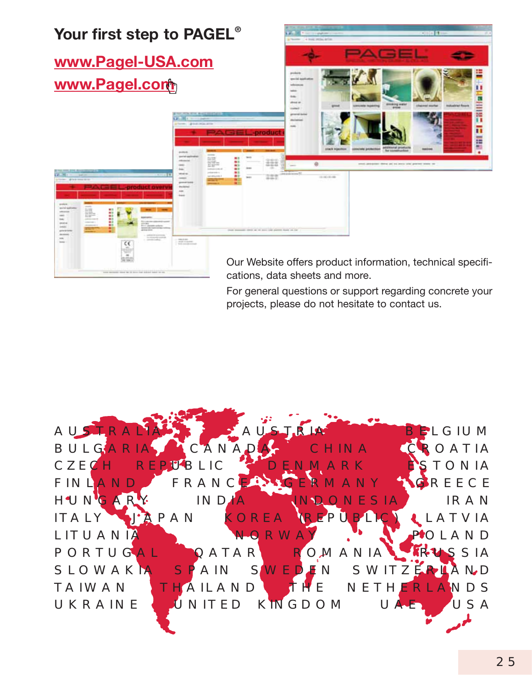

cations, data sheets and more.

For general questions or support regarding concrete your projects, please do not hesitate to contact us.

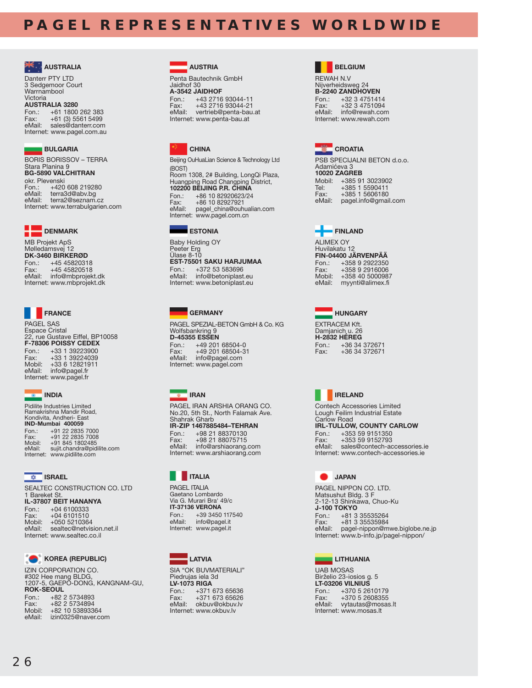### **PAGEL REPRESENTATIVES WORLDWIDE**



Danterr PTY LTD 3 Sedgemoor Court Warrnambool Victoria

**AUSTRALIA 3280** Fon.: +61 1800 262 383 +61 (3) 5561 5499 eMail: sales@danterr.com Internet: www.pagel.com.au

#### **BULGARIA**

BORIS BORISSOV – TERRA Stara Planina 9 **BG-5890 VALCHITRAN** okr. Plevenski<br>Fon.: +420 +420 608 219280 eMail: terra3d@abv.bg<br>eMail: terra2@seznam. terra2@seznam.cz Internet: www.terrabulgarien.com



MB Projekt ApS Mølledamsvej 12 **DK-3460 BIRKERØD** Fon.: +45 45820318<br>Fax: +45 45820518 +45 45820518 eMail: info@mbprojekt.dk Internet: www.mbprojekt.dk



PAGEL SAS Espace Cristal 22, rue Gustave Eiffel, BP10058 **F-78306 POISSY CEDEX** Fon.: +33 1 39223900 Fax: +33 1 39224039 Mobil: +33 6 12821911 eMail: info@pagel.fr Internet: www.pagel.fr



Pidilite Industries Limited Ramakrishna Mandir Road, Kondivita, Andheri- East **IND-Mumbai 400059** Fon.: +91 22 2835 7000 Fax: +91 22 2835 7008 Mobil: +91 845 1802485 eMail: sujit.chandra@pidilite.com Internet: www.pidilite.com

#### **ISRAEL**

SEALTEC CONSTRUCTION CO. LTD 1 Bareket St. **IL-37807 BEIT  HANANYA** Fon.: +04 6100333<br>Fax: +04 6101510 +04 6101510 Mobil: +050 5210364<br>
eMail: sealtec@netvis sealtec@netvision.net.il Internet: www.sealtec.co.il



#### **COREA** (REPUBLIC)

IZIN CORPORATION CO. #302 Hee mang BLDG, 1207-5, GAEPO-DONG, KANGNAM-GU, **ROK-SEOUL** Fon.: +82 2 5734893 Fax: +82 2 5734894

| Mobil: | +82 10 53893364    |
|--------|--------------------|
| eMail: | izin0325@naver.com |

#### **AUSTRIA**

Penta Bautechnik GmbH Jaidhof 30 **A-3542 JAIDHOF** Fon.: +43 2716 93044-11 Fax: +43 2716 93044-21 eMail: vertrieb@penta-bau.at Internet: www.penta-bau.at



Beijing OuHuaLian Science & Technology Ltd (BOST) Room 1308, 2# Building, LongQi Plaza, Huangping Road Changping District, **102200 BEIJING P.R. CHINA**

Fon.: +86 10 82920623/24<br>Fax: +86 10 82927921 Fax: +86 10 82927921<br>
eMail: pagel china@ouble pagel\_china@ouhualian.com Internet: www.pagel.com.cn



Baby Holding OY Peeter Erg Ülase 8-10 **EST-75501 SAKU HARJUMAA**<br>Fon: +372 53 583696 Fon.: +372 53 583696<br>eMail: info@betoniplast. info@betoniplast.eu Internet: www.betoniplast.eu

#### **GERMANY**

PAGEL SPEZIAL-BETON GmbH & Co. KG Wolfsbankring 9 **D-45355 ESSEN**<br>Fon.: +49 201 Fon.: +49 201 68504-0<br>Fax: +49 201 68504-3 Fax: +49 201 68504-31<br>
eMail: info@pagel.com info@pagel.com Internet: www.pagel.com

**B** IRAN PAGEL IRAN ARSHIA ORANG CO. No.20, 5th St., North Falamak Ave. Shahrak Gharb **IR-ZIP 1467885484–TEHRAN** Fon.: +98 21 88370130 Fax: +98 21 88075715<br>eMail: info@arshiaorana. info@arshiaorang.com Internet: www.arshiaorang.com

### **ITALIA**

PAGEL ITALIA Gaetano Lombardo Via G. Murari Bra' 49/c **IT-37136 VERONA** Fon.: +39 3450 117540 eMail: info@pagel.it Internet: www.pagel.it



SIA "OK BUVMATERIALI" Piedrujas iela 3d **LV-1073 RIGA**<br>Fon.: +371 Fon.: +371 673 65636<br>Fax: +371 673 65626 +371 673 65626 eMail: okbuv@okbuv.lv Internet: www.okbuv.lv

#### **BELGIUM**

REWAH N.V Nijverheidsweg 24 **B-2240 ZANDHOVEN** Fon.: +32 3 4751414<br>Fax: +32 3 4751094  $+3234751094$ eMail: info@rewah.com Internet: www.rewah.com



PSB SPECIJALNI BETON d.o.o. Adamićeva 3 **10020 ZAGREB** Mobil: +385 91 3023902<br>Tel: +385 1 5590411 Tel: +385 1 5590411<br>Fax: +385 1 5606180 +385 1 5606180 eMail: pagel.info@gmail.com



ALIMEX OY Huvilakatu 12 **FIN-04400 JÄRVENPÄÄ** Fon.: +358 9 2922350 +358 9 2916006 Mobil: +358 40 5000987 eMail: myynti@alimex.fi



EXTRACEM Kft. Damjanich u. 26 **H-2832 HÉREG** Fon.: +36 34 372671 Fax: +36 34 372671



Contech Accessories Limited Lough Feilim Industrial Estate Carlow Road **IRL-TULLOW, COUNTY CARLOW**<br>Fon.: +353 59 9151350 Fon.: +353 59 9151350 Fax: +353 59 9152793 sales@contech-accessories.ie Internet: www.contech-accessories.ie



PAGEL NIPPON CO. LTD. Matsushut Bldg. 3 F 2-12-13 Shinkawa, Chuo-Ku **J-100 TOKYO**<br>Fon.: +81 3 Fon.: +81 3 35535264 Fax: +81 3 35535984<br>eMail: pagel-ninnon@m pagel-nippon@mwe.biglobe.ne.jp Internet: www.b-info.jp/pagel-nippon/

#### **LITHUANIA**

UAB MOSAS Birželio 23-iosios g. 5 **LT-03206 VILNIUS** Fon.: +370 5 2610179<br>Fax: +370 5 2608355 +370 5 2608355 eMail: vytautas@mosas.lt Internet: www.mosas.lt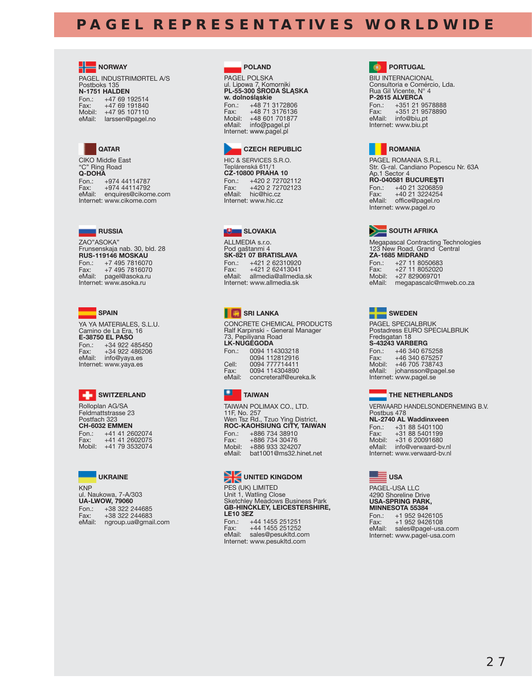## **PAGEL REPRESENTATIVES WORLDWIDE**





CIKO Middle East "C" Ring Road **Q-DOHA** Fon.: +974 44114787<br>Fax: +974 44114792 Fax: +974 44114792 eMail: enquires@cikome.com Internet: www.cikome.com



ZAO"ASOKA" Frunsenskaja nab. 30, bld. 28 **RUS-119146 MOSKAU** Fon.: +7 495 7816070<br>Fax: +7 495 7816070 +7 495 7816070 eMail: pagel@asoka.ru Internet: www.asoka.ru



YA YA MATERIALES, S.L.U. Camino de La Era, 16 **E-38750 EL PASO**<br>Fon: +34,922 Fon.: +34 922 485450<br>Fax: +34 922 486206 Fax: +34 922 486206 eMail: info@yaya.es Internet: www.yaya.es



Rolloplan AG/SA Feldmattstrasse 23 Postfach 323 **CH-6032 EMMEN** Fon.: +41 41 2602074<br>Fax: +41 41 2602075 Fax: +41 41 2602075 Mobil: +41 79 3532074



PAGEL POLSKA ul. Lipowa 7, Komorniki<br>**PL-55-300 ŠRODA SLĄSKA w. dolno∂låskie** Fon.: +48 71 3172806<br>Fax: +48 71 3176136 +48 71 3176136 Mobil: +48 601 701877 eMail: info@pagel.pl Internet: www.pagel.pl

 **POLAND**



HIC & SERVICES S.R.O. Teplárenská 611/1 **CZ-10800 PRAHA 10** Fon.: +420 2 72702112<br>Fax: +420 2 72702123 Fax: +420 2 72702123 eMail: hic@hic.cz Internet: www.hic.cz



ALLMEDIA s.r.o. Pod gaštanmi 4 **SK-821 07 BRATISLAVA** Fon.: +421 2 62310920<br>Fax: +421 2 62413041 Fax: +421 2 62413041 eMail: allmedia@allmedia.sk Internet: www.allmedia.sk



CONCRETE CHEMICAL PRODUCTS Ralf Karpinski - General Manager 73, Pepiliyana Road **LK-NUGEGODA** Fon.: 0094 114303218 0094 112812916<br>Cell: 0094 777714411 Cell: 0094 777714411<br>Fax: 0094 114304890 0094 114304890 eMail: concreteralf@eureka.lk



TAIWAN POLIMAX CO., LTD. 11F, No. 257 Wen Tsz Rd., Tzuo Ying District, **ROC-KAOHSIUNG CITY, TAIWAN** Fon.: +886 734 38910<br>Fax: +886 734 30476 Fax: +886 734 30476 Mobil: +886 933 324207 eMail: bat1001@ms32.hinet.net



PES (UK) LIMITED<br>Unit 1, Watling Close<br>Sketchley Meadows Business Park<br>**GB-HINCKLEY, LEICESTERSHIRE, LE10 3EZ** Fon.: +44 1455 251251 +44 1455 251252 eMail: sales@pesukltd.com Internet: www.pesukltd.com

**<b>B** PORTUGAL

BIU INTERNACIONAL Consultoria e Comércio, Lda. Rua Gil Vicente, N° 4 **P-2615 ALVERCA**<br>Fon.: +351 21 9 Fon.: +351 21 9578888 +351 21 9578890 eMail: info@biu.pt Internet: www.biu.pt



PAGEL ROMANIA S.R.L. Str. G-ral. Candiano Popescu Nr. 63A Ap.1 Sector 4 **RO-040581 BUCUREŞTI**<br>Fon.: +40 21 3206859 Fon.: +40 21 3206859<br>Fax: +40 21 3224254 +40 21 3224254 eMail: office@pagel.ro Internet: www.pagel.ro



Megapascal Contracting Technologies 123 New Road, Grand Central **ZA-1685 MIDRAND** Fon.: +27 11 8050683<br>Fax: +27 11 8052020  $+27$  11 8052020 Mobil: +27 829069701 eMail: megapascalc@mweb.co.za



PAGEL SPECIALBRUK Postadress EURO SPECIALBRUK Fredsgatan 18 **S-43243 VARBERG** Fon.: +46 340 675258<br>Fax: +46 340 675257 Fax: +46 340 675257 Mobil: +46 705 738743 eMail: johansson@pagel.se Internet: www.pagel.se

### **THE NETHERLANDS**

VERWAARD HANDELSONDERNEMING B.V. Postbus 478 **NL-2740 AL Waddinxveen**<br>Fon.: +31 88 5401100 Fon.: +31 88 5401100<br>Fax: +31 88 5401199 Fax: +31 88 5401199 Mobil: +31 6 20091680 eMail: info@verwaard-bv.nl Internet: www.verwaard-bv.nl

 **USA**

PAGEL-USA LLC 4290 Shoreline Drive **USA-SPRING PARK, MINNESOTA 55384** Fon.: +1 952 9426105<br>Fax: +1 952 9426108 +1 952 9426108

eMail: sales@pagel-usa.com Internet: www.pagel-usa.com